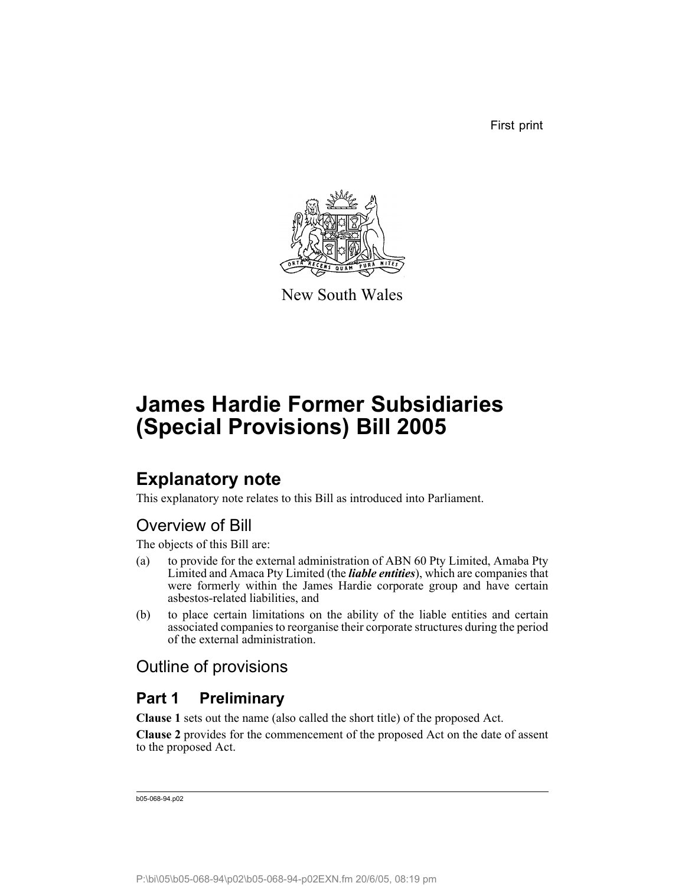First print



New South Wales

# **James Hardie Former Subsidiaries (Special Provisions) Bill 2005**

# **Explanatory note**

This explanatory note relates to this Bill as introduced into Parliament.

# Overview of Bill

The objects of this Bill are:

- (a) to provide for the external administration of ABN 60 Pty Limited, Amaba Pty Limited and Amaca Pty Limited (the *liable entities*), which are companies that were formerly within the James Hardie corporate group and have certain asbestos-related liabilities, and
- (b) to place certain limitations on the ability of the liable entities and certain associated companies to reorganise their corporate structures during the period of the external administration.

# Outline of provisions

# **Part 1 Preliminary**

**Clause 1** sets out the name (also called the short title) of the proposed Act.

**Clause 2** provides for the commencement of the proposed Act on the date of assent to the proposed Act.

```
b05-068-94.p02
```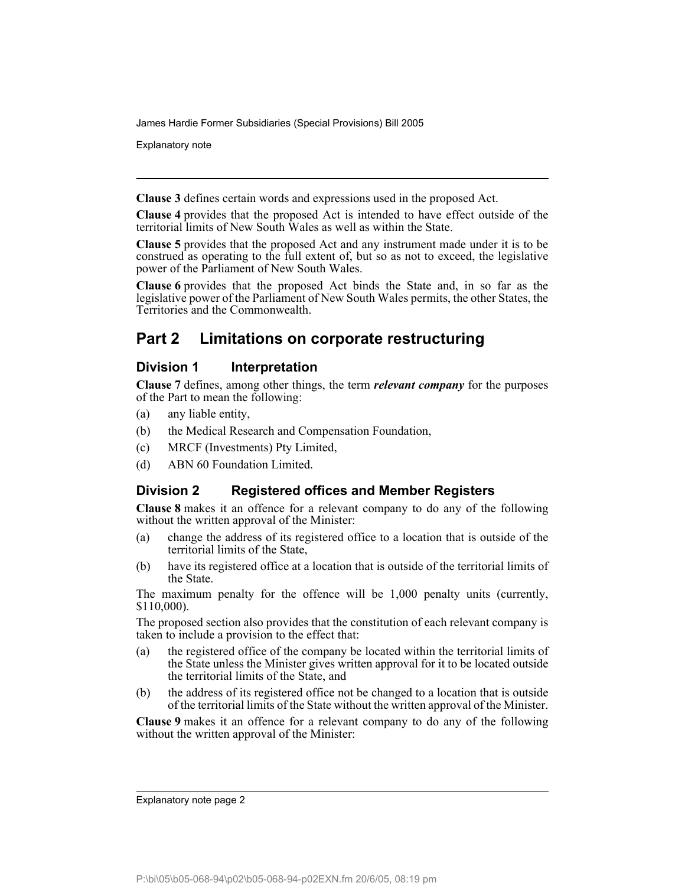Explanatory note

**Clause 3** defines certain words and expressions used in the proposed Act.

**Clause 4** provides that the proposed Act is intended to have effect outside of the territorial limits of New South Wales as well as within the State.

**Clause 5** provides that the proposed Act and any instrument made under it is to be construed as operating to the full extent of, but so as not to exceed, the legislative power of the Parliament of New South Wales.

**Clause 6** provides that the proposed Act binds the State and, in so far as the legislative power of the Parliament of New South Wales permits, the other States, the Territories and the Commonwealth.

# **Part 2 Limitations on corporate restructuring**

### **Division 1 Interpretation**

**Clause 7** defines, among other things, the term *relevant company* for the purposes of the Part to mean the following:

- (a) any liable entity,
- (b) the Medical Research and Compensation Foundation,
- (c) MRCF (Investments) Pty Limited,
- (d) ABN 60 Foundation Limited.

### **Division 2 Registered offices and Member Registers**

**Clause 8** makes it an offence for a relevant company to do any of the following without the written approval of the Minister:

- (a) change the address of its registered office to a location that is outside of the territorial limits of the State,
- (b) have its registered office at a location that is outside of the territorial limits of the State.

The maximum penalty for the offence will be 1,000 penalty units (currently, \$110,000).

The proposed section also provides that the constitution of each relevant company is taken to include a provision to the effect that:

- (a) the registered office of the company be located within the territorial limits of the State unless the Minister gives written approval for it to be located outside the territorial limits of the State, and
- (b) the address of its registered office not be changed to a location that is outside of the territorial limits of the State without the written approval of the Minister.

**Clause 9** makes it an offence for a relevant company to do any of the following without the written approval of the Minister:

Explanatory note page 2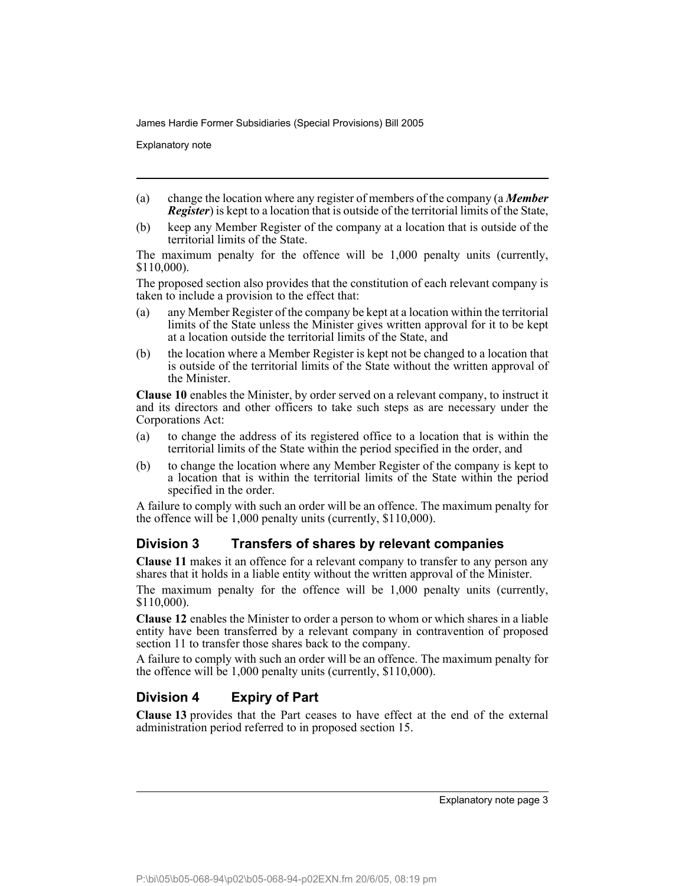Explanatory note

- (a) change the location where any register of members of the company (a *Member Register*) is kept to a location that is outside of the territorial limits of the State,
- (b) keep any Member Register of the company at a location that is outside of the territorial limits of the State.

The maximum penalty for the offence will be 1,000 penalty units (currently, \$110,000).

The proposed section also provides that the constitution of each relevant company is taken to include a provision to the effect that:

- (a) any Member Register of the company be kept at a location within the territorial limits of the State unless the Minister gives written approval for it to be kept at a location outside the territorial limits of the State, and
- (b) the location where a Member Register is kept not be changed to a location that is outside of the territorial limits of the State without the written approval of the Minister.

**Clause 10** enables the Minister, by order served on a relevant company, to instruct it and its directors and other officers to take such steps as are necessary under the Corporations Act:

- (a) to change the address of its registered office to a location that is within the territorial limits of the State within the period specified in the order, and
- (b) to change the location where any Member Register of the company is kept to a location that is within the territorial limits of the State within the period specified in the order.

A failure to comply with such an order will be an offence. The maximum penalty for the offence will be  $1,000$  penalty units (currently, \$110,000).

### **Division 3 Transfers of shares by relevant companies**

**Clause 11** makes it an offence for a relevant company to transfer to any person any shares that it holds in a liable entity without the written approval of the Minister.

The maximum penalty for the offence will be 1,000 penalty units (currently, \$110,000).

**Clause 12** enables the Minister to order a person to whom or which shares in a liable entity have been transferred by a relevant company in contravention of proposed section 11 to transfer those shares back to the company.

A failure to comply with such an order will be an offence. The maximum penalty for the offence will be 1,000 penalty units (currently, \$110,000).

## **Division 4 Expiry of Part**

**Clause 13** provides that the Part ceases to have effect at the end of the external administration period referred to in proposed section 15.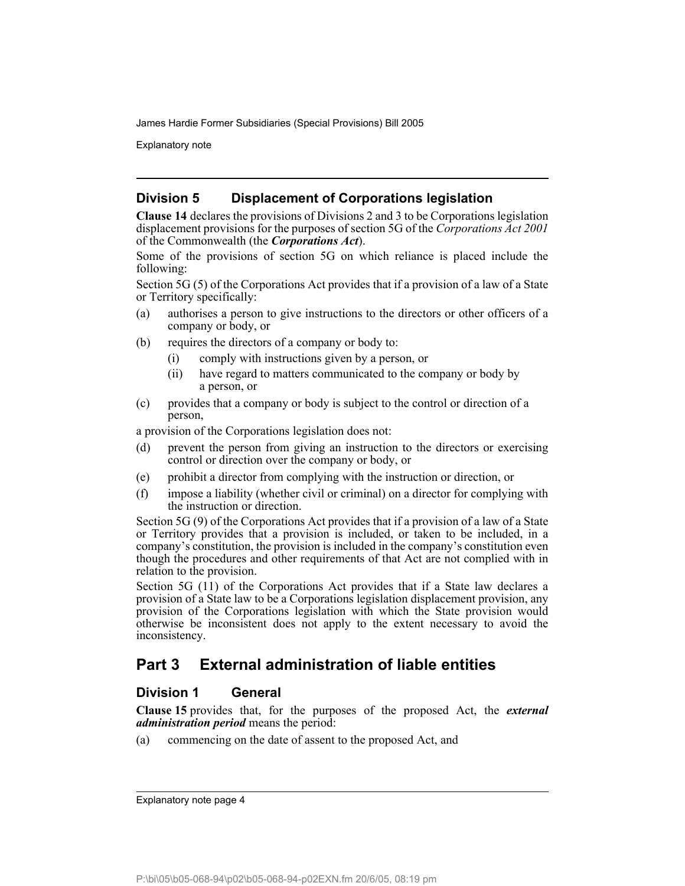Explanatory note

### **Division 5 Displacement of Corporations legislation**

**Clause 14** declares the provisions of Divisions 2 and 3 to be Corporations legislation displacement provisions for the purposes of section 5G of the *Corporations Act 2001* of the Commonwealth (the *Corporations Act*).

Some of the provisions of section 5G on which reliance is placed include the following:

Section 5G (5) of the Corporations Act provides that if a provision of a law of a State or Territory specifically:

- (a) authorises a person to give instructions to the directors or other officers of a company or body, or
- (b) requires the directors of a company or body to:
	- (i) comply with instructions given by a person, or
	- (ii) have regard to matters communicated to the company or body by a person, or
- (c) provides that a company or body is subject to the control or direction of a person,

a provision of the Corporations legislation does not:

- (d) prevent the person from giving an instruction to the directors or exercising control or direction over the company or body, or
- (e) prohibit a director from complying with the instruction or direction, or
- (f) impose a liability (whether civil or criminal) on a director for complying with the instruction or direction.

Section 5G (9) of the Corporations Act provides that if a provision of a law of a State or Territory provides that a provision is included, or taken to be included, in a company's constitution, the provision is included in the company's constitution even though the procedures and other requirements of that Act are not complied with in relation to the provision.

Section 5G (11) of the Corporations Act provides that if a State law declares a provision of a State law to be a Corporations legislation displacement provision, any provision of the Corporations legislation with which the State provision would otherwise be inconsistent does not apply to the extent necessary to avoid the inconsistency.

# **Part 3 External administration of liable entities**

### **Division 1 General**

**Clause 15** provides that, for the purposes of the proposed Act, the *external administration period* means the period:

(a) commencing on the date of assent to the proposed Act, and

Explanatory note page 4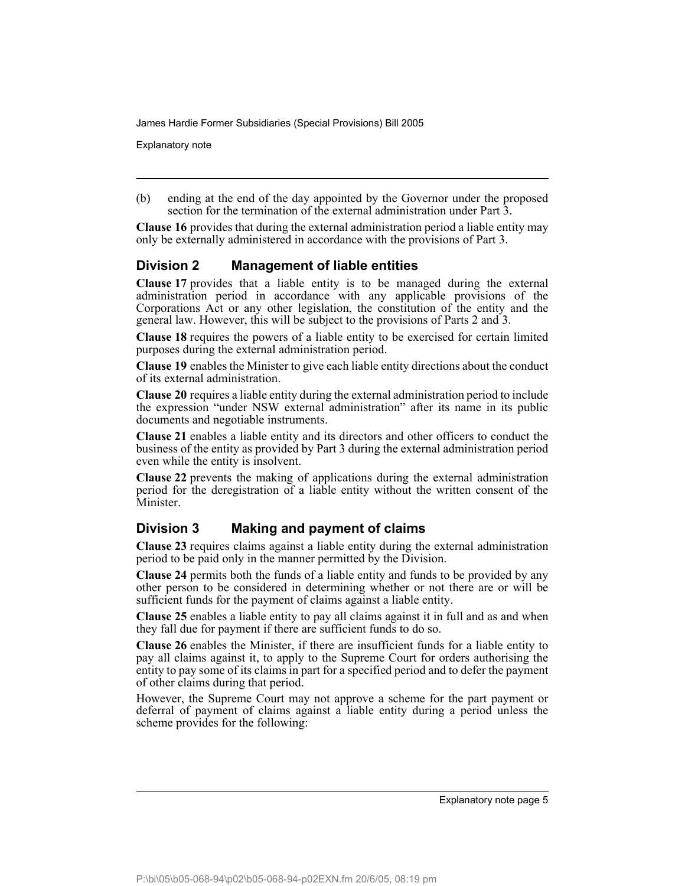Explanatory note

(b) ending at the end of the day appointed by the Governor under the proposed section for the termination of the external administration under Part 3.

**Clause 16** provides that during the external administration period a liable entity may only be externally administered in accordance with the provisions of Part 3.

### **Division 2 Management of liable entities**

**Clause 17** provides that a liable entity is to be managed during the external administration period in accordance with any applicable provisions of the Corporations Act or any other legislation, the constitution of the entity and the general law. However, this will be subject to the provisions of Parts 2 and 3.

**Clause 18** requires the powers of a liable entity to be exercised for certain limited purposes during the external administration period.

**Clause 19** enables the Minister to give each liable entity directions about the conduct of its external administration.

**Clause 20** requires a liable entity during the external administration period to include the expression "under NSW external administration" after its name in its public documents and negotiable instruments.

**Clause 21** enables a liable entity and its directors and other officers to conduct the business of the entity as provided by Part 3 during the external administration period even while the entity is insolvent.

**Clause 22** prevents the making of applications during the external administration period for the deregistration of a liable entity without the written consent of the Minister.

### **Division 3 Making and payment of claims**

**Clause 23** requires claims against a liable entity during the external administration period to be paid only in the manner permitted by the Division.

**Clause 24** permits both the funds of a liable entity and funds to be provided by any other person to be considered in determining whether or not there are or will be sufficient funds for the payment of claims against a liable entity.

**Clause 25** enables a liable entity to pay all claims against it in full and as and when they fall due for payment if there are sufficient funds to do so.

**Clause 26** enables the Minister, if there are insufficient funds for a liable entity to pay all claims against it, to apply to the Supreme Court for orders authorising the entity to pay some of its claims in part for a specified period and to defer the payment of other claims during that period.

However, the Supreme Court may not approve a scheme for the part payment or deferral of payment of claims against a liable entity during a period unless the scheme provides for the following: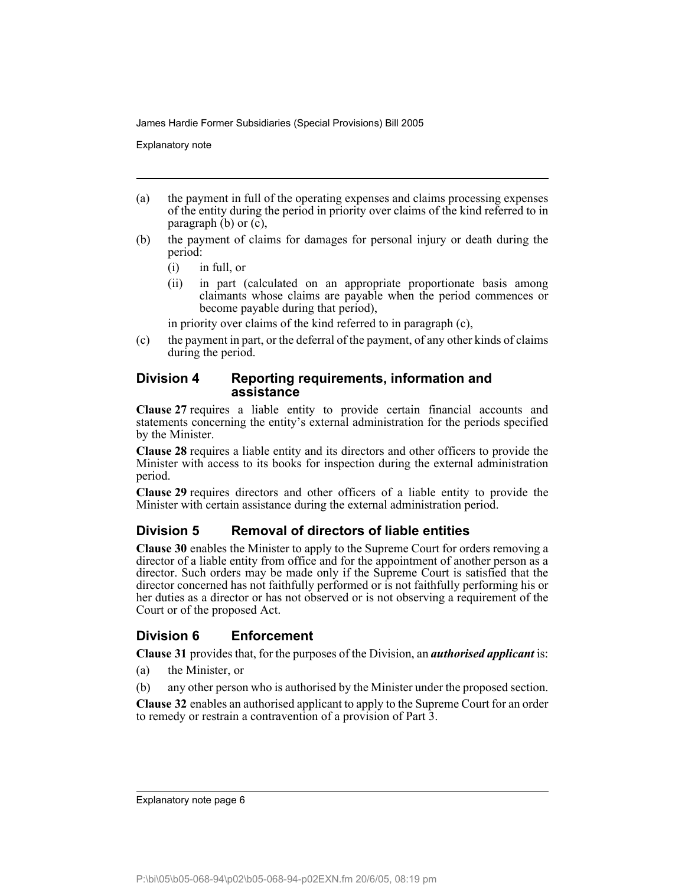Explanatory note

- (a) the payment in full of the operating expenses and claims processing expenses of the entity during the period in priority over claims of the kind referred to in paragraph  $(b)$  or  $(c)$ ,
- (b) the payment of claims for damages for personal injury or death during the period:
	- (i) in full, or
	- (ii) in part (calculated on an appropriate proportionate basis among claimants whose claims are payable when the period commences or become payable during that period),

in priority over claims of the kind referred to in paragraph (c),

(c) the payment in part, or the deferral of the payment, of any other kinds of claims during the period.

### **Division 4 Reporting requirements, information and assistance**

**Clause 27** requires a liable entity to provide certain financial accounts and statements concerning the entity's external administration for the periods specified by the Minister.

**Clause 28** requires a liable entity and its directors and other officers to provide the Minister with access to its books for inspection during the external administration period.

**Clause 29** requires directors and other officers of a liable entity to provide the Minister with certain assistance during the external administration period.

## **Division 5 Removal of directors of liable entities**

**Clause 30** enables the Minister to apply to the Supreme Court for orders removing a director of a liable entity from office and for the appointment of another person as a director. Such orders may be made only if the Supreme Court is satisfied that the director concerned has not faithfully performed or is not faithfully performing his or her duties as a director or has not observed or is not observing a requirement of the Court or of the proposed Act.

## **Division 6 Enforcement**

**Clause 31** provides that, for the purposes of the Division, an *authorised applicant* is:

- (a) the Minister, or
- (b) any other person who is authorised by the Minister under the proposed section.

**Clause 32** enables an authorised applicant to apply to the Supreme Court for an order to remedy or restrain a contravention of a provision of Part 3.

Explanatory note page 6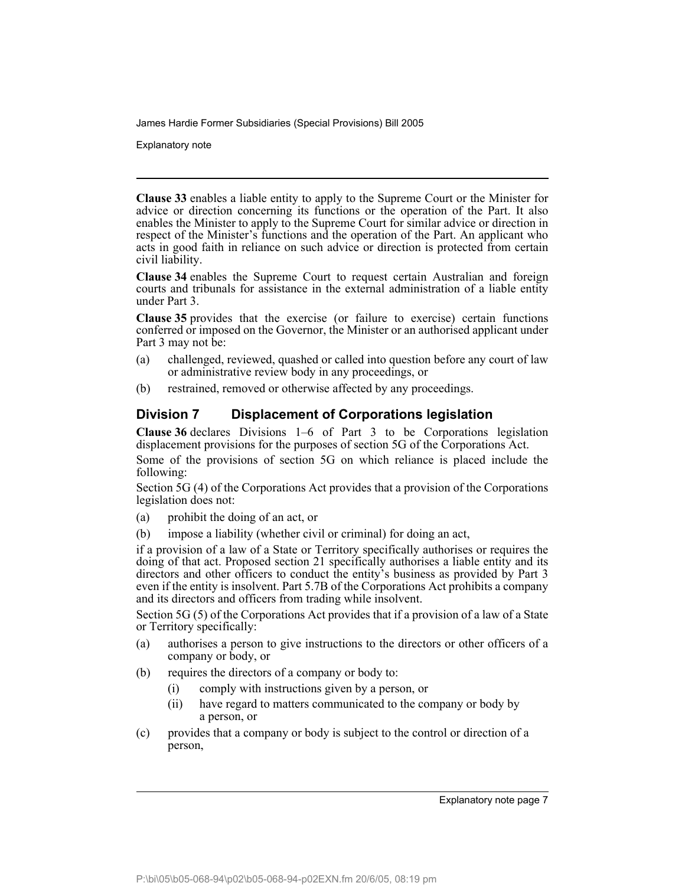Explanatory note

**Clause 33** enables a liable entity to apply to the Supreme Court or the Minister for advice or direction concerning its functions or the operation of the Part. It also enables the Minister to apply to the Supreme Court for similar advice or direction in respect of the Minister's functions and the operation of the Part. An applicant who acts in good faith in reliance on such advice or direction is protected from certain civil liability.

**Clause 34** enables the Supreme Court to request certain Australian and foreign courts and tribunals for assistance in the external administration of a liable entity under Part 3.

**Clause 35** provides that the exercise (or failure to exercise) certain functions conferred or imposed on the Governor, the Minister or an authorised applicant under Part 3 may not be:

- (a) challenged, reviewed, quashed or called into question before any court of law or administrative review body in any proceedings, or
- (b) restrained, removed or otherwise affected by any proceedings.

### **Division 7 Displacement of Corporations legislation**

**Clause 36** declares Divisions 1–6 of Part 3 to be Corporations legislation displacement provisions for the purposes of section 5G of the Corporations Act.

Some of the provisions of section 5G on which reliance is placed include the following:

Section 5G (4) of the Corporations Act provides that a provision of the Corporations legislation does not:

- (a) prohibit the doing of an act, or
- (b) impose a liability (whether civil or criminal) for doing an act,

if a provision of a law of a State or Territory specifically authorises or requires the doing of that act. Proposed section 21 specifically authorises a liable entity and its directors and other officers to conduct the entity's business as provided by Part 3 even if the entity is insolvent. Part 5.7B of the Corporations Act prohibits a company and its directors and officers from trading while insolvent.

Section 5G (5) of the Corporations Act provides that if a provision of a law of a State or Territory specifically:

- (a) authorises a person to give instructions to the directors or other officers of a company or body, or
- (b) requires the directors of a company or body to:
	- (i) comply with instructions given by a person, or
	- (ii) have regard to matters communicated to the company or body by a person, or
- (c) provides that a company or body is subject to the control or direction of a person,

Explanatory note page 7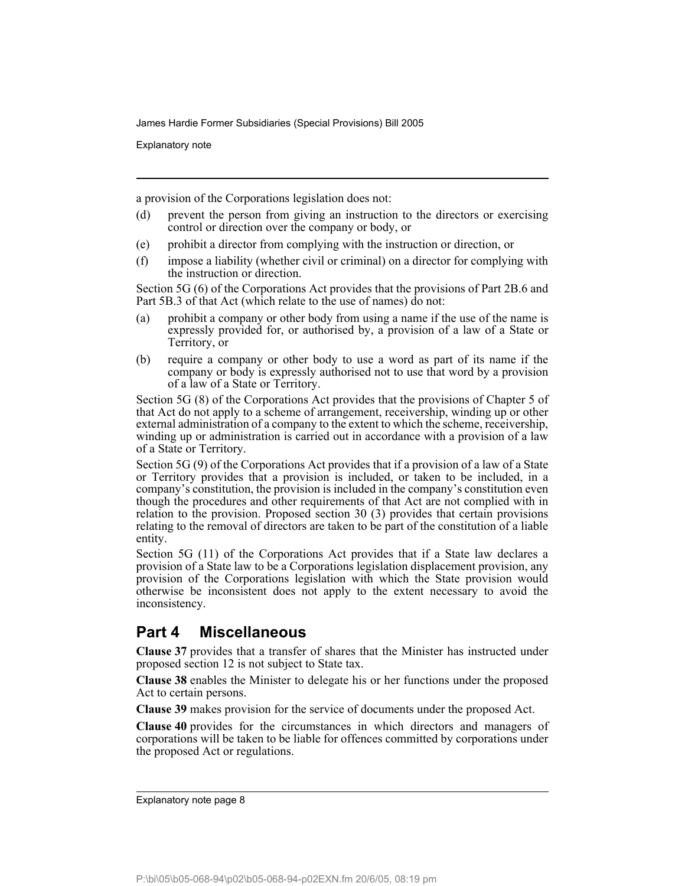Explanatory note

a provision of the Corporations legislation does not:

- (d) prevent the person from giving an instruction to the directors or exercising control or direction over the company or body, or
- (e) prohibit a director from complying with the instruction or direction, or
- (f) impose a liability (whether civil or criminal) on a director for complying with the instruction or direction.

Section 5G (6) of the Corporations Act provides that the provisions of Part 2B.6 and Part 5B.3 of that Act (which relate to the use of names) do not:

- (a) prohibit a company or other body from using a name if the use of the name is expressly provided for, or authorised by, a provision of a law of a State or Territory, or
- (b) require a company or other body to use a word as part of its name if the company or body is expressly authorised not to use that word by a provision of a law of a State or Territory.

Section 5G (8) of the Corporations Act provides that the provisions of Chapter 5 of that Act do not apply to a scheme of arrangement, receivership, winding up or other external administration of a company to the extent to which the scheme, receivership, winding up or administration is carried out in accordance with a provision of a law of a State or Territory.

Section 5G (9) of the Corporations Act provides that if a provision of a law of a State or Territory provides that a provision is included, or taken to be included, in a company's constitution, the provision is included in the company's constitution even though the procedures and other requirements of that Act are not complied with in relation to the provision. Proposed section 30 (3) provides that certain provisions relating to the removal of directors are taken to be part of the constitution of a liable entity.

Section 5G (11) of the Corporations Act provides that if a State law declares a provision of a State law to be a Corporations legislation displacement provision, any provision of the Corporations legislation with which the State provision would otherwise be inconsistent does not apply to the extent necessary to avoid the inconsistency.

# **Part 4 Miscellaneous**

**Clause 37** provides that a transfer of shares that the Minister has instructed under proposed section 12 is not subject to State tax.

**Clause 38** enables the Minister to delegate his or her functions under the proposed Act to certain persons.

**Clause 39** makes provision for the service of documents under the proposed Act.

**Clause 40** provides for the circumstances in which directors and managers of corporations will be taken to be liable for offences committed by corporations under the proposed Act or regulations.

Explanatory note page 8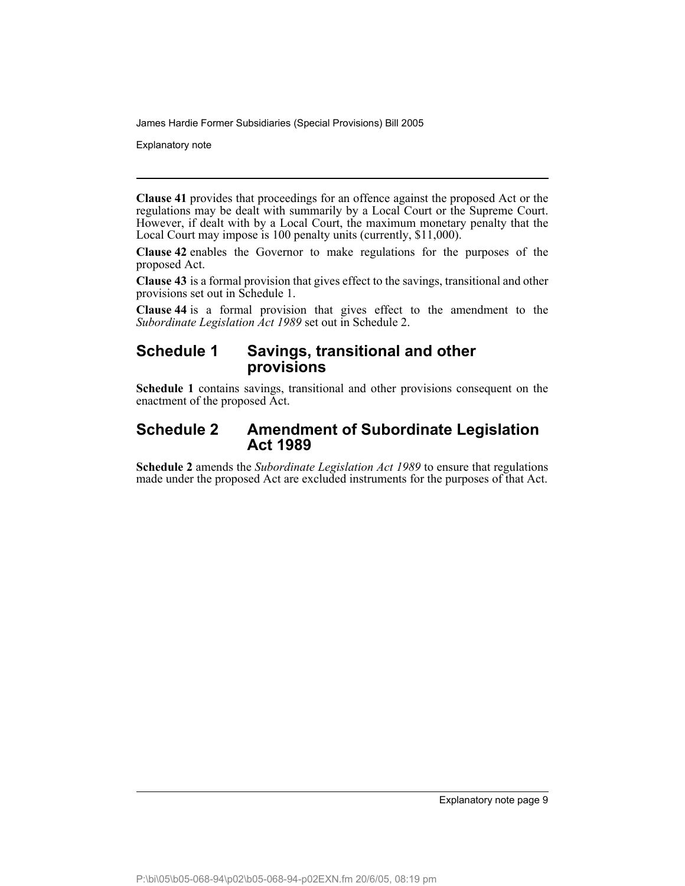Explanatory note

**Clause 41** provides that proceedings for an offence against the proposed Act or the regulations may be dealt with summarily by a Local Court or the Supreme Court. However, if dealt with by a Local Court, the maximum monetary penalty that the Local Court may impose is 100 penalty units (currently, \$11,000).

**Clause 42** enables the Governor to make regulations for the purposes of the proposed Act.

**Clause 43** is a formal provision that gives effect to the savings, transitional and other provisions set out in Schedule 1.

**Clause 44** is a formal provision that gives effect to the amendment to the *Subordinate Legislation Act 1989* set out in Schedule 2.

# **Schedule 1 Savings, transitional and other provisions**

**Schedule 1** contains savings, transitional and other provisions consequent on the enactment of the proposed Act.

# **Schedule 2 Amendment of Subordinate Legislation Act 1989**

**Schedule 2** amends the *Subordinate Legislation Act 1989* to ensure that regulations made under the proposed Act are excluded instruments for the purposes of that Act.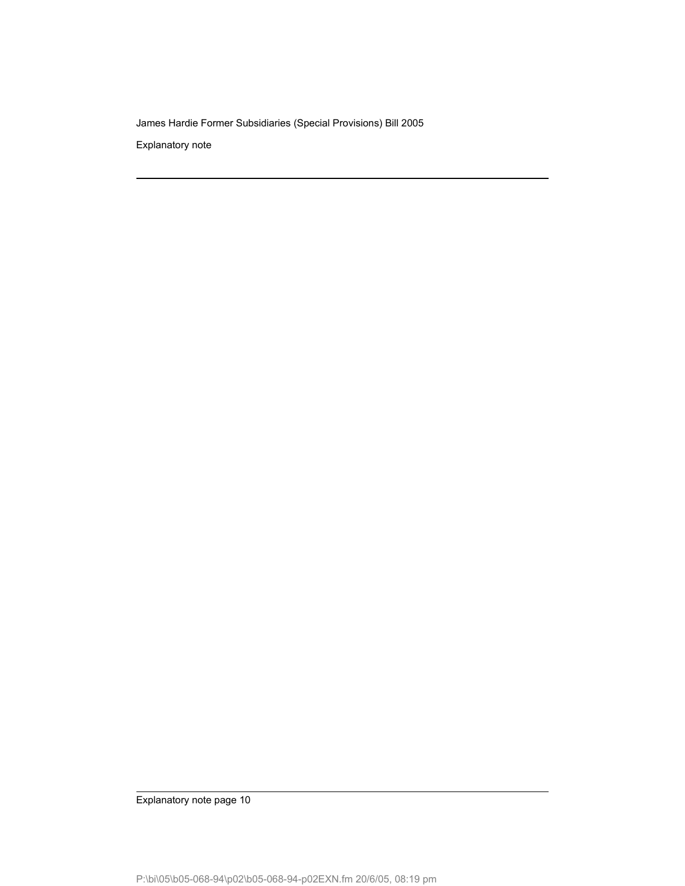Explanatory note

Explanatory note page 10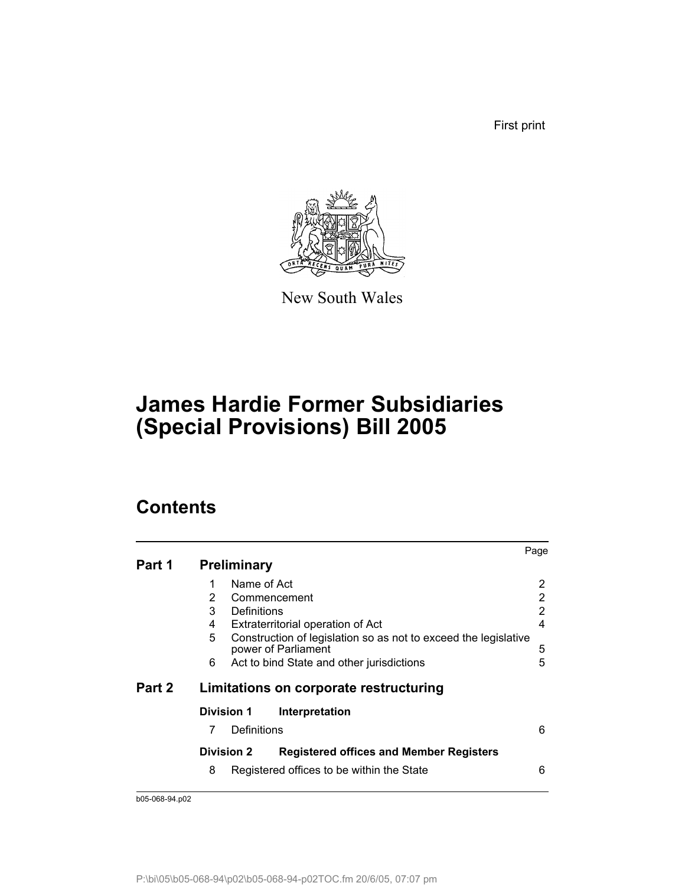First print



New South Wales

# **James Hardie Former Subsidiaries (Special Provisions) Bill 2005**

# **Contents**

|        |                    |                                                                                        | Page           |
|--------|--------------------|----------------------------------------------------------------------------------------|----------------|
| Part 1 | <b>Preliminary</b> |                                                                                        |                |
|        | Name of Act<br>1   |                                                                                        | 2              |
|        | 2                  | Commencement                                                                           | $\overline{2}$ |
|        | 3<br>Definitions   |                                                                                        | $\overline{2}$ |
|        | 4                  | Extraterritorial operation of Act                                                      | 4              |
|        | 5                  | Construction of legislation so as not to exceed the legislative<br>power of Parliament | 5              |
|        | 6                  | Act to bind State and other jurisdictions                                              | 5              |
| Part 2 |                    | Limitations on corporate restructuring                                                 |                |
|        | <b>Division 1</b>  | Interpretation                                                                         |                |
|        | Definitions<br>7   |                                                                                        | 6              |
|        | <b>Division 2</b>  | <b>Registered offices and Member Registers</b>                                         |                |
|        | 8                  | Registered offices to be within the State                                              | 6              |
|        |                    |                                                                                        |                |

b05-068-94.p02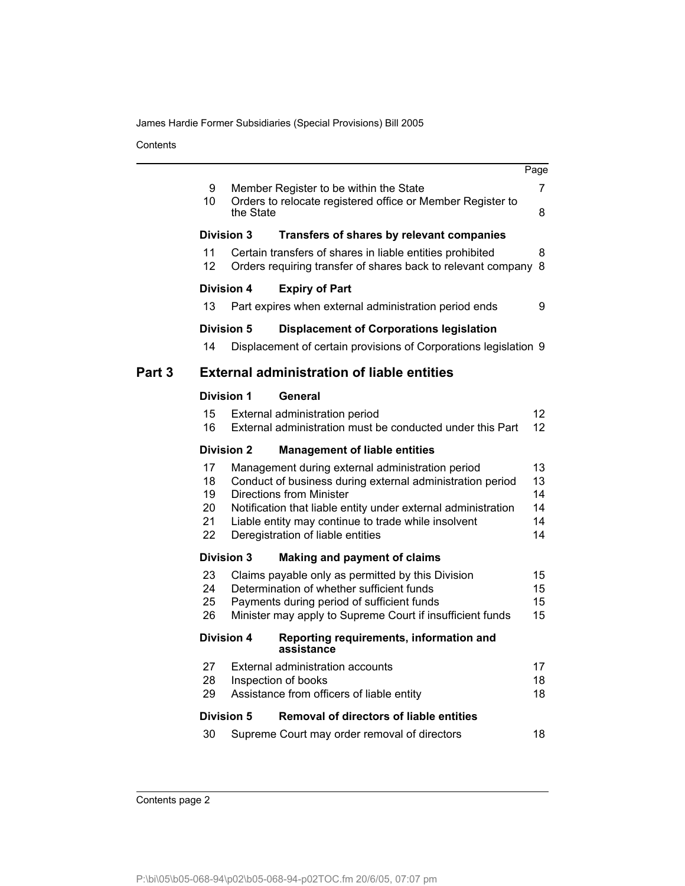#### **Contents**

|        |                |                   |                                                                                                                                                  | Page           |
|--------|----------------|-------------------|--------------------------------------------------------------------------------------------------------------------------------------------------|----------------|
|        | 9<br>10        |                   | Member Register to be within the State<br>Orders to relocate registered office or Member Register to                                             | 7              |
|        |                | the State         |                                                                                                                                                  | 8              |
|        |                | <b>Division 3</b> | Transfers of shares by relevant companies                                                                                                        |                |
|        | 11<br>12       |                   | Certain transfers of shares in liable entities prohibited<br>Orders requiring transfer of shares back to relevant company 8                      | 8              |
|        |                | <b>Division 4</b> | <b>Expiry of Part</b>                                                                                                                            |                |
|        | 13             |                   | Part expires when external administration period ends                                                                                            | 9              |
|        |                | <b>Division 5</b> | <b>Displacement of Corporations legislation</b>                                                                                                  |                |
|        | 14             |                   | Displacement of certain provisions of Corporations legislation 9                                                                                 |                |
| Part 3 |                |                   | <b>External administration of liable entities</b>                                                                                                |                |
|        |                | <b>Division 1</b> | General                                                                                                                                          |                |
|        | 15             |                   | External administration period                                                                                                                   | 12             |
|        | 16             |                   | External administration must be conducted under this Part                                                                                        | 12             |
|        |                | <b>Division 2</b> | <b>Management of liable entities</b>                                                                                                             |                |
|        | 17<br>18<br>19 |                   | Management during external administration period<br>Conduct of business during external administration period<br><b>Directions from Minister</b> | 13<br>13<br>14 |
|        | 20             |                   | Notification that liable entity under external administration                                                                                    | 14             |
|        | 21<br>22       |                   | Liable entity may continue to trade while insolvent<br>Deregistration of liable entities                                                         | 14<br>14       |
|        |                | <b>Division 3</b> | <b>Making and payment of claims</b>                                                                                                              |                |
|        | 23             |                   | Claims payable only as permitted by this Division                                                                                                | 15             |
|        | 24             |                   | Determination of whether sufficient funds                                                                                                        | 15             |
|        | 25<br>26       |                   | Payments during period of sufficient funds<br>Minister may apply to Supreme Court if insufficient funds                                          | 15<br>15       |
|        |                |                   |                                                                                                                                                  |                |
|        |                | <b>Division 4</b> | Reporting requirements, information and<br>assistance                                                                                            |                |
|        | 27             |                   | External administration accounts                                                                                                                 | 17             |
|        | 28<br>29       |                   | Inspection of books<br>Assistance from officers of liable entity                                                                                 | 18<br>18       |
|        |                | <b>Division 5</b> | <b>Removal of directors of liable entities</b>                                                                                                   |                |
|        | 30             |                   | Supreme Court may order removal of directors                                                                                                     | 18             |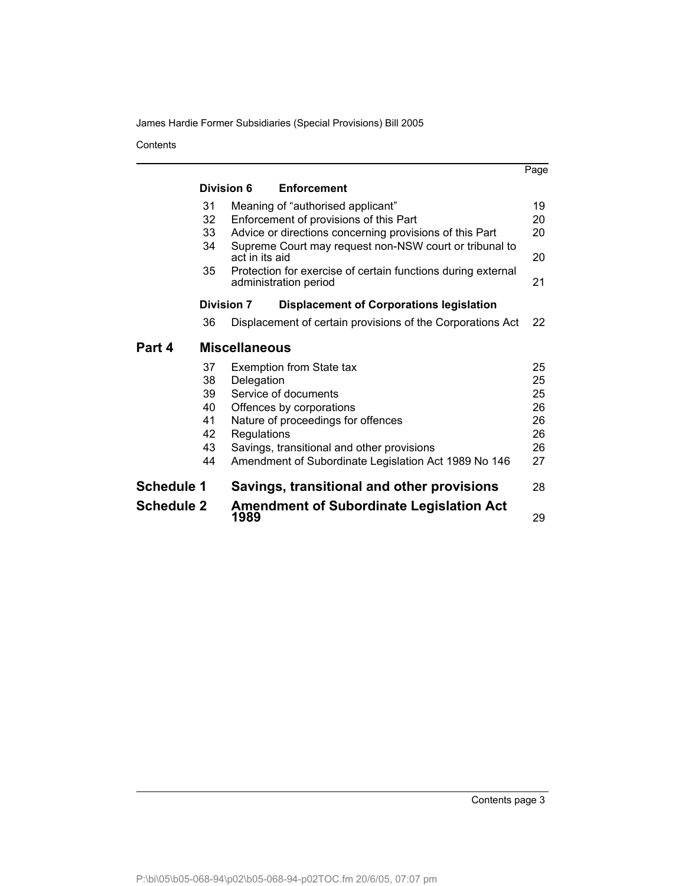**Contents** 

|                   |                   |                                                                                       | Page |
|-------------------|-------------------|---------------------------------------------------------------------------------------|------|
|                   | Division 6        | <b>Enforcement</b>                                                                    |      |
|                   | 31                | Meaning of "authorised applicant"                                                     | 19   |
|                   | 32                | Enforcement of provisions of this Part                                                | 20   |
|                   | 33                | Advice or directions concerning provisions of this Part                               | 20   |
|                   | 34                | Supreme Court may request non-NSW court or tribunal to<br>act in its aid              | 20   |
|                   | 35                | Protection for exercise of certain functions during external<br>administration period | 21   |
|                   | <b>Division 7</b> | <b>Displacement of Corporations legislation</b>                                       |      |
|                   | 36                | Displacement of certain provisions of the Corporations Act                            | 22   |
| Part 4            |                   | <b>Miscellaneous</b>                                                                  |      |
|                   | 37                | Exemption from State tax                                                              | 25   |
|                   | 38                | Delegation                                                                            | 25   |
|                   | 39                | Service of documents                                                                  | 25   |
|                   | 40                | Offences by corporations                                                              | 26   |
|                   | 41                | Nature of proceedings for offences                                                    | 26   |
|                   | 42                | Regulations                                                                           | 26   |
|                   | 43                | Savings, transitional and other provisions                                            | 26   |
|                   | 44                | Amendment of Subordinate Legislation Act 1989 No 146                                  | 27   |
| <b>Schedule 1</b> |                   | Savings, transitional and other provisions                                            | 28   |
| <b>Schedule 2</b> |                   | <b>Amendment of Subordinate Legislation Act</b><br>1989                               | 29   |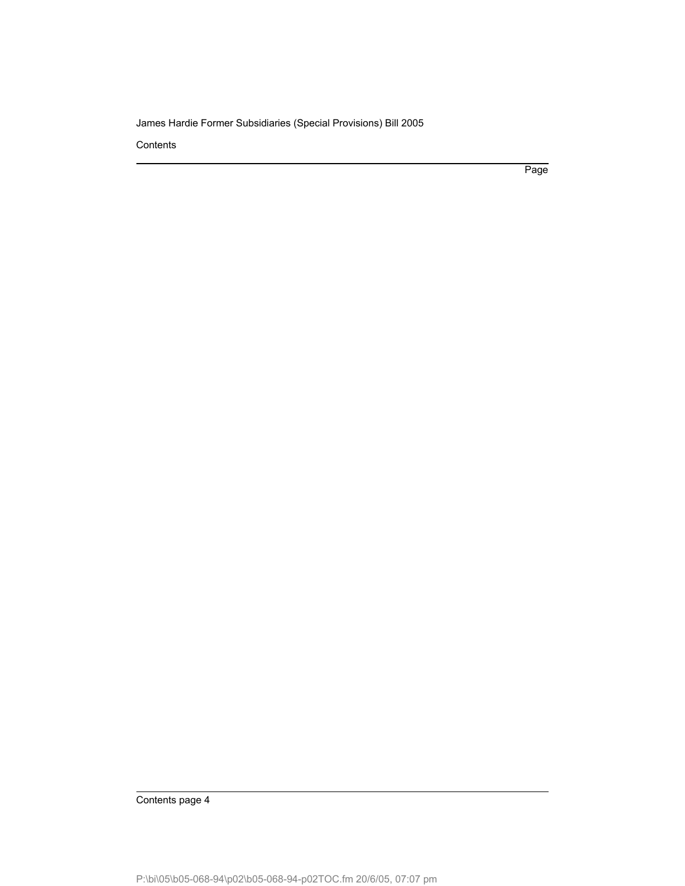**Contents** 

Page

Contents page 4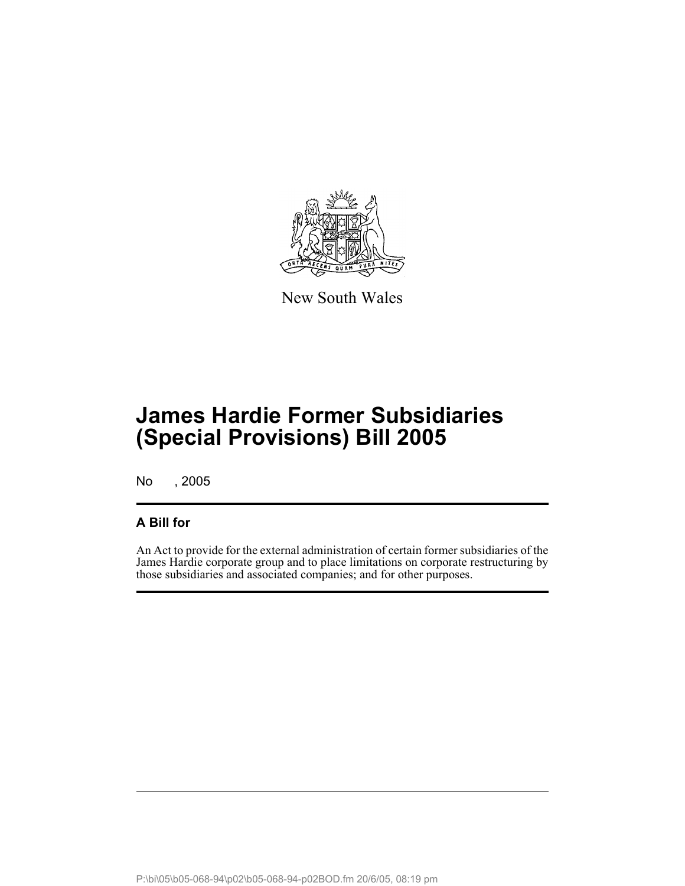

New South Wales

No , 2005

## **A Bill for**

An Act to provide for the external administration of certain former subsidiaries of the James Hardie corporate group and to place limitations on corporate restructuring by those subsidiaries and associated companies; and for other purposes.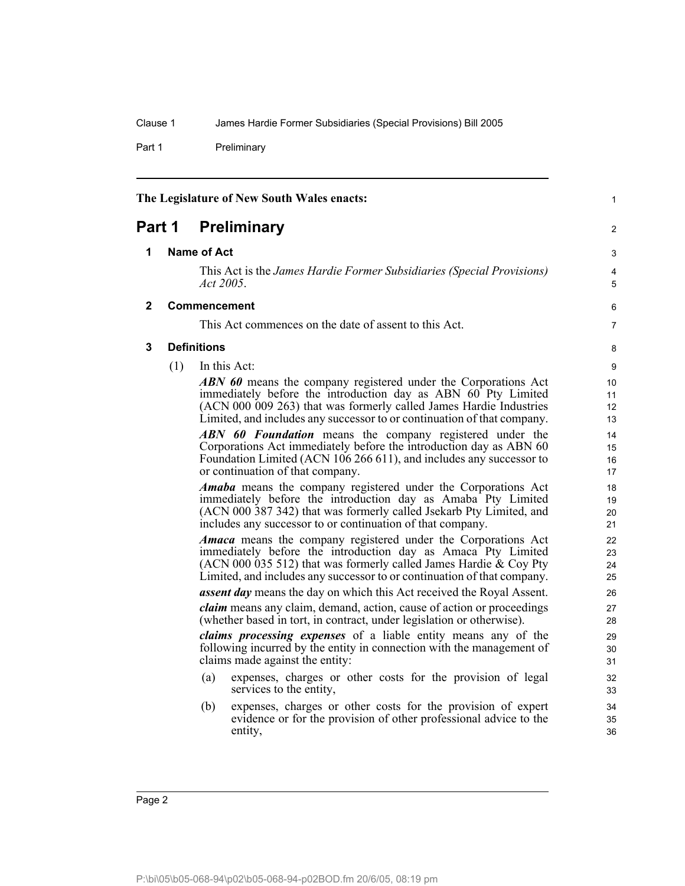Part 1 Preliminary

<span id="page-15-2"></span><span id="page-15-1"></span><span id="page-15-0"></span>

|              |     | The Legislature of New South Wales enacts:                                                                                                                                                                                                                                              | 1                    |
|--------------|-----|-----------------------------------------------------------------------------------------------------------------------------------------------------------------------------------------------------------------------------------------------------------------------------------------|----------------------|
| Part 1       |     | <b>Preliminary</b>                                                                                                                                                                                                                                                                      | 2                    |
| 1            |     | <b>Name of Act</b>                                                                                                                                                                                                                                                                      | 3                    |
|              |     | This Act is the James Hardie Former Subsidiaries (Special Provisions)<br><i>Act</i> 2005.                                                                                                                                                                                               | 4<br>5               |
| $\mathbf{2}$ |     | <b>Commencement</b>                                                                                                                                                                                                                                                                     | 6                    |
|              |     | This Act commences on the date of assent to this Act.                                                                                                                                                                                                                                   | $\overline{7}$       |
| 3            |     | <b>Definitions</b>                                                                                                                                                                                                                                                                      | 8                    |
|              | (1) | In this Act:                                                                                                                                                                                                                                                                            | 9                    |
|              |     | <b>ABN 60</b> means the company registered under the Corporations Act<br>immediately before the introduction day as ABN 60 Pty Limited<br>(ACN 000 009 263) that was formerly called James Hardie Industries<br>Limited, and includes any successor to or continuation of that company. | 10<br>11<br>12<br>13 |
|              |     | <b>ABN</b> 60 Foundation means the company registered under the<br>Corporations Act immediately before the introduction day as ABN 60<br>Foundation Limited (ACN 106 266 611), and includes any successor to<br>or continuation of that company.                                        | 14<br>15<br>16<br>17 |
|              |     | <b>Amaba</b> means the company registered under the Corporations Act<br>immediately before the introduction day as Amaba Pty Limited<br>(ACN 000 387 342) that was formerly called Jsekarb Pty Limited, and<br>includes any successor to or continuation of that company.               | 18<br>19<br>20<br>21 |
|              |     | Amaca means the company registered under the Corporations Act<br>immediately before the introduction day as Amaca Pty Limited<br>(ACN 000 035 512) that was formerly called James Hardie $\&$ Coy Pty<br>Limited, and includes any successor to or continuation of that company.        | 22<br>23<br>24<br>25 |
|              |     | <b>assent day</b> means the day on which this Act received the Royal Assent.                                                                                                                                                                                                            | 26                   |
|              |     | <i>claim</i> means any claim, demand, action, cause of action or proceedings<br>(whether based in tort, in contract, under legislation or otherwise).                                                                                                                                   | 27<br>28             |
|              |     | <i>claims processing expenses</i> of a liable entity means any of the<br>following incurred by the entity in connection with the management of<br>claims made against the entity:                                                                                                       | 29<br>30<br>31       |
|              |     | (a)<br>expenses, charges or other costs for the provision of legal<br>services to the entity,                                                                                                                                                                                           | 32<br>33             |
|              |     | expenses, charges or other costs for the provision of expert<br>(b)<br>evidence or for the provision of other professional advice to the<br>entity,                                                                                                                                     | 34<br>35<br>36       |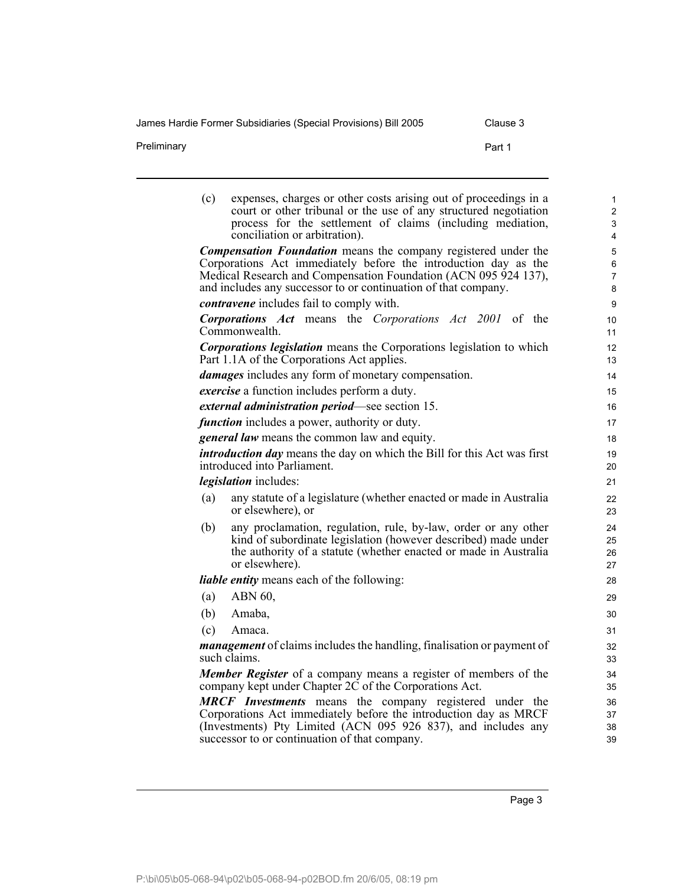Preliminary **Preliminary** Part 1

| (c) | expenses, charges or other costs arising out of proceedings in a<br>court or other tribunal or the use of any structured negotiation<br>process for the settlement of claims (including mediation,                     | 1<br>$\overline{2}$<br>3 |
|-----|------------------------------------------------------------------------------------------------------------------------------------------------------------------------------------------------------------------------|--------------------------|
|     | conciliation or arbitration).                                                                                                                                                                                          | 4                        |
|     | <b>Compensation Foundation</b> means the company registered under the<br>Corporations Act immediately before the introduction day as the                                                                               | 5<br>6                   |
|     | Medical Research and Compensation Foundation (ACN 095 924 137),                                                                                                                                                        | $\overline{7}$           |
|     | and includes any successor to or continuation of that company.                                                                                                                                                         | 8                        |
|     | <i>contravene</i> includes fail to comply with.                                                                                                                                                                        | 9                        |
|     | <b>Corporations Act</b> means the Corporations Act 2001 of the<br>Commonwealth.                                                                                                                                        | 10 <sup>1</sup><br>11    |
|     | <b>Corporations legislation</b> means the Corporations legislation to which                                                                                                                                            | 12                       |
|     | Part 1.1A of the Corporations Act applies.                                                                                                                                                                             | 13                       |
|     | <i>damages</i> includes any form of monetary compensation.                                                                                                                                                             | 14                       |
|     | <i>exercise</i> a function includes perform a duty.                                                                                                                                                                    | 15                       |
|     | external administration period—see section 15.                                                                                                                                                                         | 16                       |
|     | <i>function</i> includes a power, authority or duty.                                                                                                                                                                   | 17                       |
|     | <i>general law</i> means the common law and equity.                                                                                                                                                                    | 18                       |
|     | <i>introduction day</i> means the day on which the Bill for this Act was first<br>introduced into Parliament.                                                                                                          | 19<br>20                 |
|     | <i>legislation</i> includes:                                                                                                                                                                                           | 21                       |
| (a) | any statute of a legislature (whether enacted or made in Australia<br>or elsewhere), or                                                                                                                                | 22<br>23                 |
| (b) | any proclamation, regulation, rule, by-law, order or any other<br>kind of subordinate legislation (however described) made under<br>the authority of a statute (whether enacted or made in Australia<br>or elsewhere). | 24<br>25<br>26<br>27     |
|     | <i>liable entity</i> means each of the following:                                                                                                                                                                      | 28                       |
| (a) | ABN 60,                                                                                                                                                                                                                | 29                       |
| (b) | Amaba,                                                                                                                                                                                                                 | 30                       |
| (c) | Amaca.                                                                                                                                                                                                                 | 31                       |
|     | <i>management</i> of claims includes the handling, finalisation or payment of<br>such claims.                                                                                                                          | 32<br>33                 |
|     | <b>Member Register</b> of a company means a register of members of the<br>company kept under Chapter 2C of the Corporations Act.                                                                                       | 34<br>35                 |
|     | <b>MRCF</b> Investments means the company registered under the                                                                                                                                                         | 36                       |
|     | Corporations Act immediately before the introduction day as MRCF<br>(Investments) Pty Limited (ACN 095 926 837), and includes any                                                                                      | 37                       |
|     | successor to or continuation of that company.                                                                                                                                                                          | 38<br>39                 |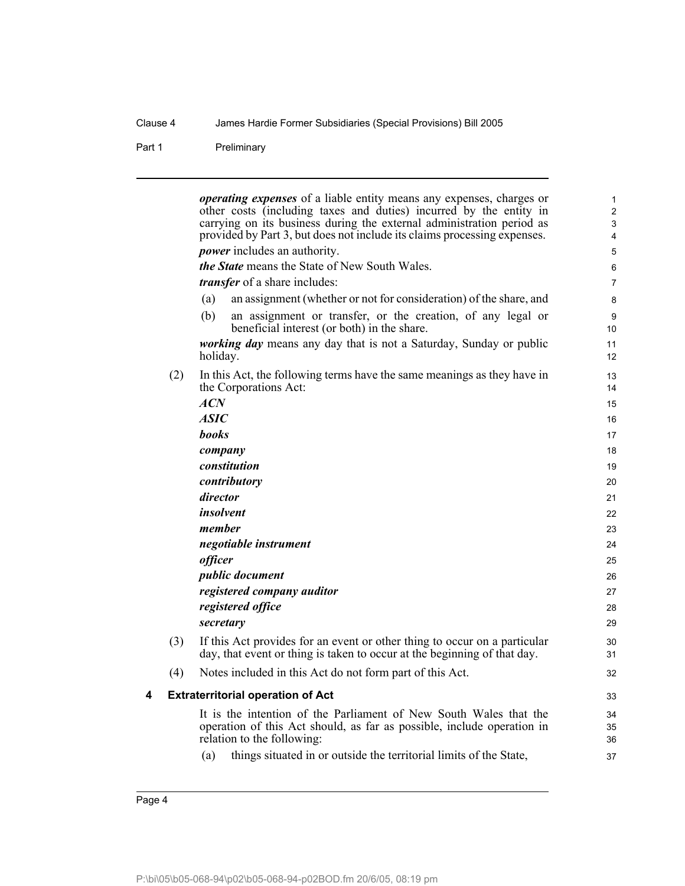### Part 1 Preliminary

<span id="page-17-0"></span>

|   |     | <i>operating expenses</i> of a liable entity means any expenses, charges or<br>other costs (including taxes and duties) incurred by the entity in     | $\mathbf{1}$<br>2    |
|---|-----|-------------------------------------------------------------------------------------------------------------------------------------------------------|----------------------|
|   |     | carrying on its business during the external administration period as<br>provided by Part 3, but does not include its claims processing expenses.     | 3<br>4               |
|   |     | <i>power</i> includes an authority.                                                                                                                   | 5                    |
|   |     | <i>the State</i> means the State of New South Wales.                                                                                                  | 6                    |
|   |     | transfer of a share includes:                                                                                                                         | $\overline{7}$       |
|   |     | an assignment (whether or not for consideration) of the share, and<br>(a)                                                                             | 8                    |
|   |     | an assignment or transfer, or the creation, of any legal or<br>(b)<br>beneficial interest (or both) in the share.                                     | 9<br>10 <sup>1</sup> |
|   |     | working day means any day that is not a Saturday, Sunday or public<br>holiday.                                                                        | 11<br>12             |
|   | (2) | In this Act, the following terms have the same meanings as they have in<br>the Corporations Act:                                                      | 13<br>14             |
|   |     | ACN                                                                                                                                                   | 15                   |
|   |     | <b>ASIC</b>                                                                                                                                           | 16                   |
|   |     | <b>books</b>                                                                                                                                          | 17                   |
|   |     | company                                                                                                                                               | 18                   |
|   |     | constitution                                                                                                                                          | 19                   |
|   |     | contributory                                                                                                                                          | 20                   |
|   |     | director                                                                                                                                              | 21                   |
|   |     | insolvent                                                                                                                                             | 22                   |
|   |     | member                                                                                                                                                | 23                   |
|   |     | negotiable instrument                                                                                                                                 | 24                   |
|   |     | officer                                                                                                                                               | 25                   |
|   |     | <i>public document</i>                                                                                                                                | 26                   |
|   |     | registered company auditor                                                                                                                            | 27                   |
|   |     | registered office                                                                                                                                     | 28                   |
|   |     | secretary                                                                                                                                             | 29                   |
|   | (3) | If this Act provides for an event or other thing to occur on a particular<br>day, that event or thing is taken to occur at the beginning of that day. | 30<br>31             |
|   | (4) | Notes included in this Act do not form part of this Act.                                                                                              | 32                   |
| 4 |     | <b>Extraterritorial operation of Act</b>                                                                                                              | 33                   |
|   |     | It is the intention of the Parliament of New South Wales that the                                                                                     | 34                   |
|   |     | operation of this Act should, as far as possible, include operation in<br>relation to the following:                                                  | 35<br>36             |
|   |     | things situated in or outside the territorial limits of the State,<br>(a)                                                                             | 37                   |
|   |     |                                                                                                                                                       |                      |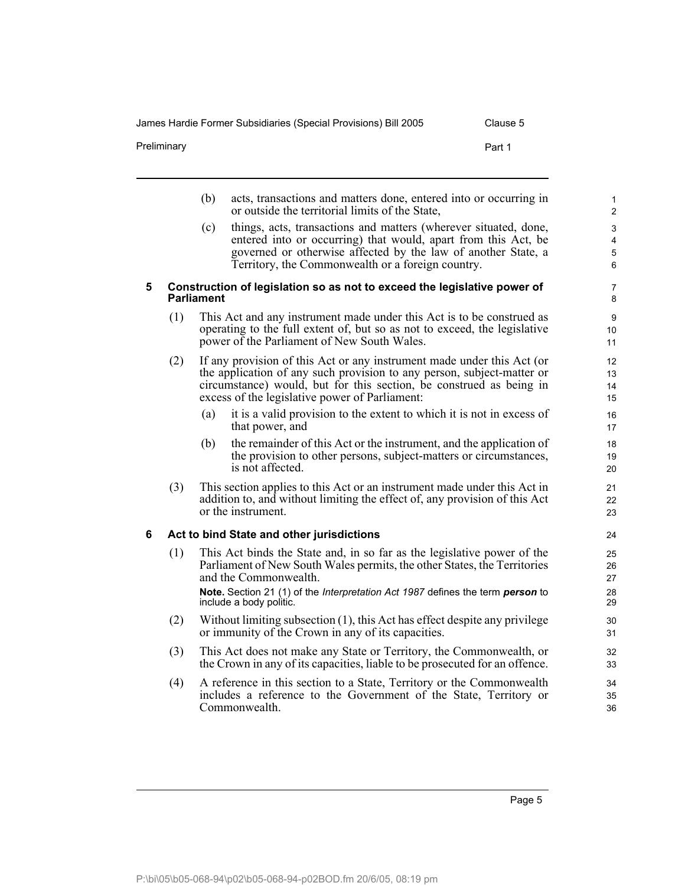- (b) acts, transactions and matters done, entered into or occurring in or outside the territorial limits of the State,
- (c) things, acts, transactions and matters (wherever situated, done, entered into or occurring) that would, apart from this Act, be governed or otherwise affected by the law of another State, a Territory, the Commonwealth or a foreign country.

#### <span id="page-18-0"></span>**5 Construction of legislation so as not to exceed the legislative power of Parliament**

- (1) This Act and any instrument made under this Act is to be construed as operating to the full extent of, but so as not to exceed, the legislative power of the Parliament of New South Wales.
- (2) If any provision of this Act or any instrument made under this Act (or the application of any such provision to any person, subject-matter or circumstance) would, but for this section, be construed as being in excess of the legislative power of Parliament:
	- (a) it is a valid provision to the extent to which it is not in excess of that power, and
	- (b) the remainder of this Act or the instrument, and the application of the provision to other persons, subject-matters or circumstances, is not affected.
- (3) This section applies to this Act or an instrument made under this Act in addition to, and without limiting the effect of, any provision of this Act or the instrument.

### <span id="page-18-1"></span>**6 Act to bind State and other jurisdictions**

(1) This Act binds the State and, in so far as the legislative power of the Parliament of New South Wales permits, the other States, the Territories and the Commonwealth.

**Note.** Section 21 (1) of the *Interpretation Act 1987* defines the term *person* to include a body politic.

- (2) Without limiting subsection (1), this Act has effect despite any privilege or immunity of the Crown in any of its capacities.
- (3) This Act does not make any State or Territory, the Commonwealth, or the Crown in any of its capacities, liable to be prosecuted for an offence.
- (4) A reference in this section to a State, Territory or the Commonwealth includes a reference to the Government of the State, Territory or Commonwealth.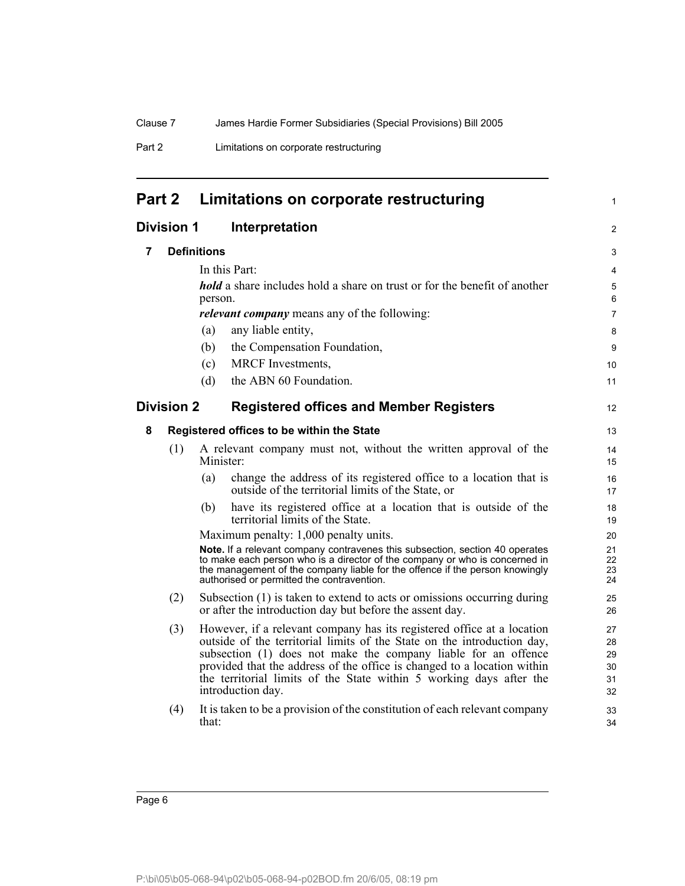<span id="page-19-4"></span><span id="page-19-3"></span><span id="page-19-2"></span><span id="page-19-1"></span><span id="page-19-0"></span>

|                   | Part 2 Limitations on corporate restructuring                                                                                                                                                                                                                                                                                                                                              | 1                                |
|-------------------|--------------------------------------------------------------------------------------------------------------------------------------------------------------------------------------------------------------------------------------------------------------------------------------------------------------------------------------------------------------------------------------------|----------------------------------|
| <b>Division 1</b> | Interpretation                                                                                                                                                                                                                                                                                                                                                                             | 2                                |
| 7                 | <b>Definitions</b>                                                                                                                                                                                                                                                                                                                                                                         | 3                                |
|                   | In this Part:                                                                                                                                                                                                                                                                                                                                                                              | $\overline{4}$                   |
|                   | <b>hold</b> a share includes hold a share on trust or for the benefit of another<br>person.                                                                                                                                                                                                                                                                                                | 5<br>6                           |
|                   | <i>relevant company</i> means any of the following:                                                                                                                                                                                                                                                                                                                                        | $\overline{7}$                   |
|                   | any liable entity,<br>(a)                                                                                                                                                                                                                                                                                                                                                                  | 8                                |
|                   | the Compensation Foundation,<br>(b)                                                                                                                                                                                                                                                                                                                                                        | 9                                |
|                   | <b>MRCF</b> Investments,<br>(c)                                                                                                                                                                                                                                                                                                                                                            | 10 <sup>1</sup>                  |
|                   | the ABN 60 Foundation.<br>(d)                                                                                                                                                                                                                                                                                                                                                              | 11                               |
| <b>Division 2</b> | <b>Registered offices and Member Registers</b>                                                                                                                                                                                                                                                                                                                                             | 12                               |
| 8                 | Registered offices to be within the State                                                                                                                                                                                                                                                                                                                                                  | 13                               |
| (1)               | A relevant company must not, without the written approval of the<br>Minister:                                                                                                                                                                                                                                                                                                              | 14<br>15                         |
|                   | change the address of its registered office to a location that is<br>(a)<br>outside of the territorial limits of the State, or                                                                                                                                                                                                                                                             | 16<br>17                         |
|                   | have its registered office at a location that is outside of the<br>(b)<br>territorial limits of the State.                                                                                                                                                                                                                                                                                 | 18<br>19                         |
|                   | Maximum penalty: 1,000 penalty units.                                                                                                                                                                                                                                                                                                                                                      | 20                               |
|                   | Note. If a relevant company contravenes this subsection, section 40 operates<br>to make each person who is a director of the company or who is concerned in<br>the management of the company liable for the offence if the person knowingly<br>authorised or permitted the contravention.                                                                                                  | 21<br>22<br>23<br>24             |
| (2)               | Subsection (1) is taken to extend to acts or omissions occurring during<br>or after the introduction day but before the assent day.                                                                                                                                                                                                                                                        | 25<br>26                         |
| (3)               | However, if a relevant company has its registered office at a location<br>outside of the territorial limits of the State on the introduction day,<br>subsection (1) does not make the company liable for an offence<br>provided that the address of the office is changed to a location within<br>the territorial limits of the State within 5 working days after the<br>introduction day. | 27<br>28<br>29<br>30<br>31<br>32 |
| (4)               | It is taken to be a provision of the constitution of each relevant company<br>that:                                                                                                                                                                                                                                                                                                        | 33<br>34                         |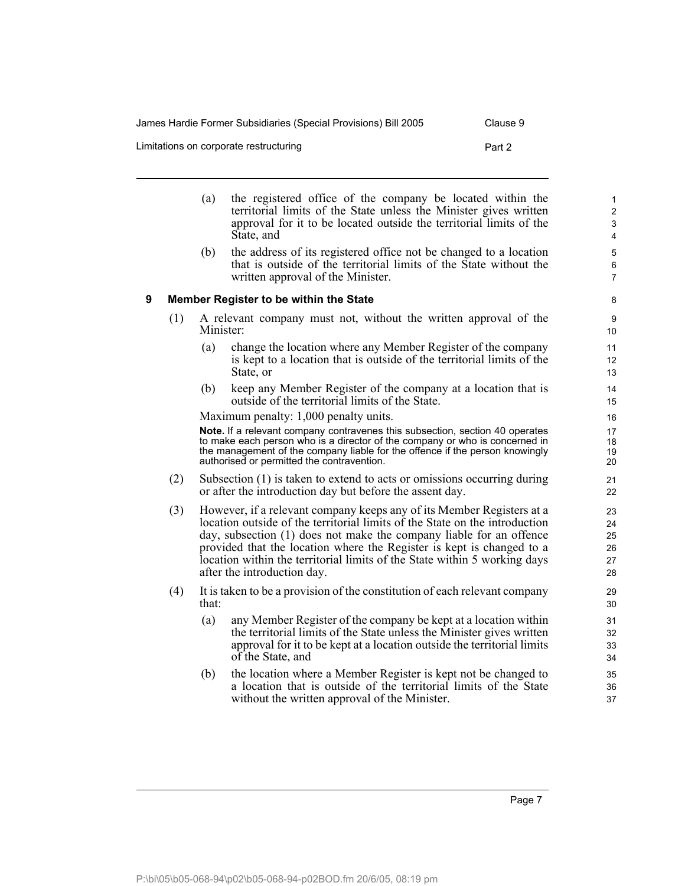| James Hardie Former Subsidiaries (Special Provisions) Bill 2005 |  | Clause 9 |
|-----------------------------------------------------------------|--|----------|
|                                                                 |  |          |

Limitations on corporate restructuring example of the Part 2

- (a) the registered office of the company be located within the territorial limits of the State unless the Minister gives written approval for it to be located outside the territorial limits of the State, and
- (b) the address of its registered office not be changed to a location that is outside of the territorial limits of the State without the written approval of the Minister.

#### <span id="page-20-0"></span>**9 Member Register to be within the State**

- (1) A relevant company must not, without the written approval of the Minister:
	- (a) change the location where any Member Register of the company is kept to a location that is outside of the territorial limits of the State, or
	- (b) keep any Member Register of the company at a location that is outside of the territorial limits of the State.

Maximum penalty: 1,000 penalty units.

**Note.** If a relevant company contravenes this subsection, section 40 operates to make each person who is a director of the company or who is concerned in the management of the company liable for the offence if the person knowingly authorised or permitted the contravention.

- (2) Subsection (1) is taken to extend to acts or omissions occurring during or after the introduction day but before the assent day.
- (3) However, if a relevant company keeps any of its Member Registers at a location outside of the territorial limits of the State on the introduction day, subsection (1) does not make the company liable for an offence provided that the location where the Register is kept is changed to a location within the territorial limits of the State within 5 working days after the introduction day.
- (4) It is taken to be a provision of the constitution of each relevant company that:
	- (a) any Member Register of the company be kept at a location within the territorial limits of the State unless the Minister gives written approval for it to be kept at a location outside the territorial limits of the State, and
	- (b) the location where a Member Register is kept not be changed to a location that is outside of the territorial limits of the State without the written approval of the Minister.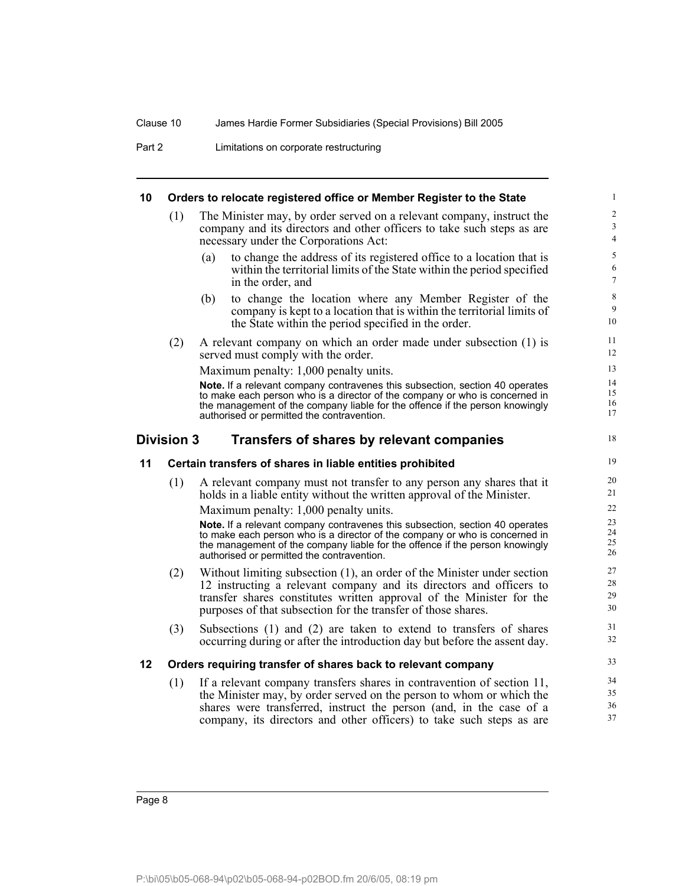Part 2 Limitations on corporate restructuring

#### <span id="page-21-0"></span>**10 Orders to relocate registered office or Member Register to the State**

- (1) The Minister may, by order served on a relevant company, instruct the company and its directors and other officers to take such steps as are necessary under the Corporations Act:
	- (a) to change the address of its registered office to a location that is within the territorial limits of the State within the period specified in the order, and

18

- (b) to change the location where any Member Register of the company is kept to a location that is within the territorial limits of the State within the period specified in the order.
- (2) A relevant company on which an order made under subsection (1) is served must comply with the order.

Maximum penalty: 1,000 penalty units.

**Note.** If a relevant company contravenes this subsection, section 40 operates to make each person who is a director of the company or who is concerned in the management of the company liable for the offence if the person knowingly authorised or permitted the contravention.

#### <span id="page-21-2"></span><span id="page-21-1"></span>**Division 3 Transfers of shares by relevant companies**

#### **11 Certain transfers of shares in liable entities prohibited**

(1) A relevant company must not transfer to any person any shares that it holds in a liable entity without the written approval of the Minister.

Maximum penalty: 1,000 penalty units.

**Note.** If a relevant company contravenes this subsection, section 40 operates to make each person who is a director of the company or who is concerned in the management of the company liable for the offence if the person knowingly authorised or permitted the contravention.

- (2) Without limiting subsection (1), an order of the Minister under section 12 instructing a relevant company and its directors and officers to transfer shares constitutes written approval of the Minister for the purposes of that subsection for the transfer of those shares.
- (3) Subsections (1) and (2) are taken to extend to transfers of shares occurring during or after the introduction day but before the assent day.

#### <span id="page-21-3"></span>**12 Orders requiring transfer of shares back to relevant company**

(1) If a relevant company transfers shares in contravention of section 11, the Minister may, by order served on the person to whom or which the shares were transferred, instruct the person (and, in the case of a company, its directors and other officers) to take such steps as are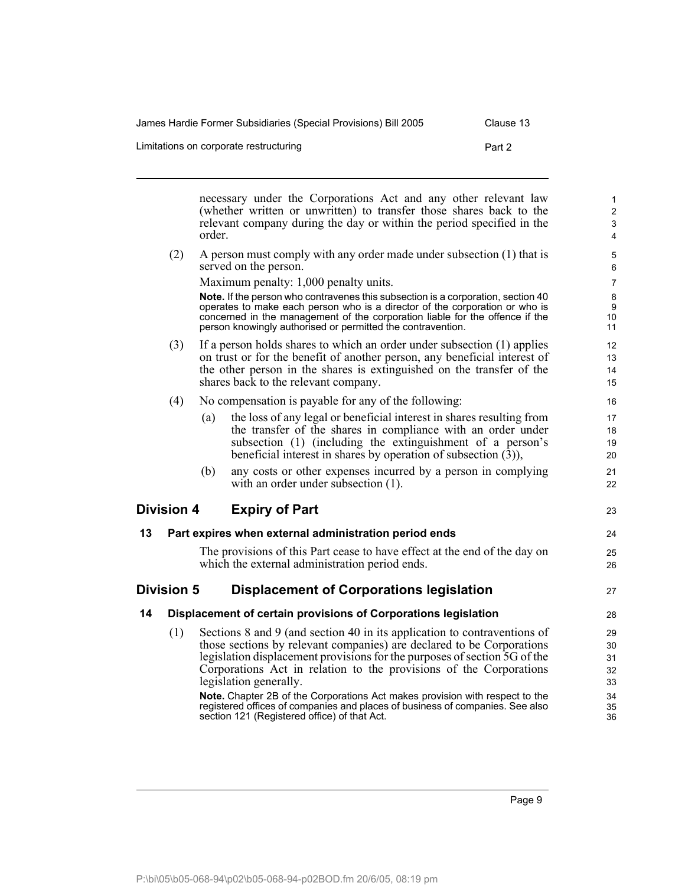| James Hardie Former Subsidiaries (Special Provisions) Bill 2005 | Clause 13 |
|-----------------------------------------------------------------|-----------|
| Limitations on corporate restructuring                          | Part 2    |

necessary under the Corporations Act and any other relevant law (whether written or unwritten) to transfer those shares back to the relevant company during the day or within the period specified in the order. (2) A person must comply with any order made under subsection (1) that is served on the person. Maximum penalty: 1,000 penalty units. **Note.** If the person who contravenes this subsection is a corporation, section 40 operates to make each person who is a director of the corporation or who is concerned in the management of the corporation liable for the offence if the person knowingly authorised or permitted the contravention. (3) If a person holds shares to which an order under subsection (1) applies on trust or for the benefit of another person, any beneficial interest of the other person in the shares is extinguished on the transfer of the shares back to the relevant company. (4) No compensation is payable for any of the following: (a) the loss of any legal or beneficial interest in shares resulting from the transfer of the shares in compliance with an order under subsection (1) (including the extinguishment of a person's beneficial interest in shares by operation of subsection  $(3)$ ), (b) any costs or other expenses incurred by a person in complying with an order under subsection  $(1)$ . **Division 4 Expiry of Part 13 Part expires when external administration period ends** The provisions of this Part cease to have effect at the end of the day on which the external administration period ends. **Division 5 Displacement of Corporations legislation 14 Displacement of certain provisions of Corporations legislation** (1) Sections 8 and 9 (and section 40 in its application to contraventions of those sections by relevant companies) are declared to be Corporations legislation displacement provisions for the purposes of section 5G of the Corporations Act in relation to the provisions of the Corporations legislation generally. 1 2 3 4 5 6 7 8 9 10 11 12 13 14 15 16 17 18 19 20 21 22 23 24 25 26 27 28 29  $30$ 31 32 33

> <span id="page-22-3"></span><span id="page-22-2"></span><span id="page-22-1"></span><span id="page-22-0"></span>**Note.** Chapter 2B of the Corporations Act makes provision with respect to the registered offices of companies and places of business of companies. See also section 121 (Registered office) of that Act.

> > Page 9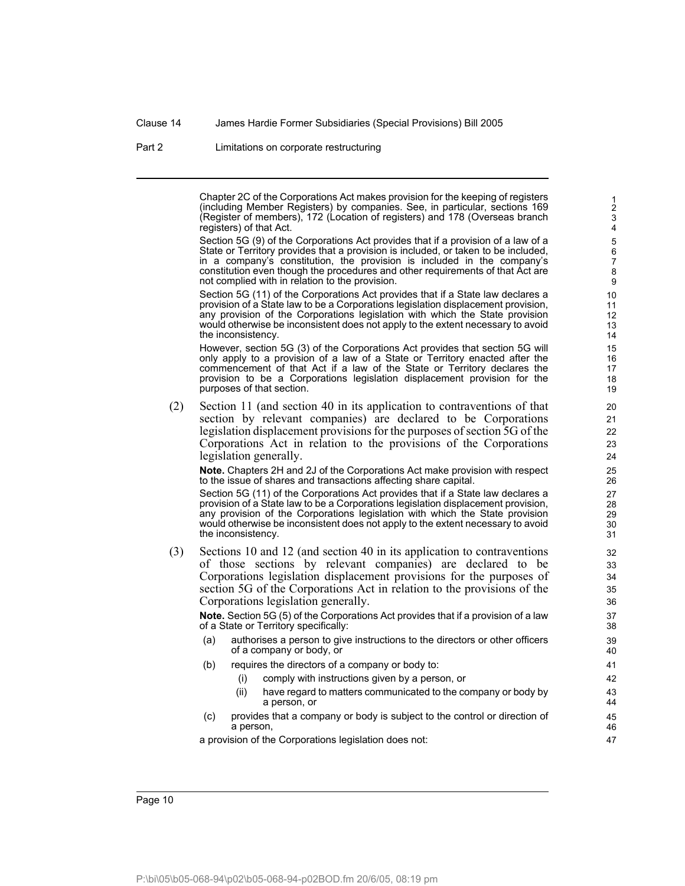#### Part 2 **Limitations on corporate restructuring**

Chapter 2C of the Corporations Act makes provision for the keeping of registers (including Member Registers) by companies. See, in particular, sections 169 (Register of members), 172 (Location of registers) and 178 (Overseas branch registers) of that Act.

Section 5G (9) of the Corporations Act provides that if a provision of a law of a State or Territory provides that a provision is included, or taken to be included, in a company's constitution, the provision is included in the company's constitution even though the procedures and other requirements of that Act are not complied with in relation to the provision.

Section 5G (11) of the Corporations Act provides that if a State law declares a provision of a State law to be a Corporations legislation displacement provision, any provision of the Corporations legislation with which the State provision would otherwise be inconsistent does not apply to the extent necessary to avoid the inconsistency.

However, section 5G (3) of the Corporations Act provides that section 5G will only apply to a provision of a law of a State or Territory enacted after the commencement of that Act if a law of the State or Territory declares the provision to be a Corporations legislation displacement provision for the purposes of that section.

(2) Section 11 (and section 40 in its application to contraventions of that section by relevant companies) are declared to be Corporations legislation displacement provisions for the purposes of section 5G of the Corporations Act in relation to the provisions of the Corporations legislation generally.

**Note.** Chapters 2H and 2J of the Corporations Act make provision with respect to the issue of shares and transactions affecting share capital.

Section 5G (11) of the Corporations Act provides that if a State law declares a provision of a State law to be a Corporations legislation displacement provision, any provision of the Corporations legislation with which the State provision would otherwise be inconsistent does not apply to the extent necessary to avoid the inconsistency.

(3) Sections 10 and 12 (and section 40 in its application to contraventions of those sections by relevant companies) are declared to be Corporations legislation displacement provisions for the purposes of section 5G of the Corporations Act in relation to the provisions of the Corporations legislation generally.

**Note.** Section 5G (5) of the Corporations Act provides that if a provision of a law of a State or Territory specifically:

- (a) authorises a person to give instructions to the directors or other officers of a company or body, or
- (b) requires the directors of a company or body to:
	- (i) comply with instructions given by a person, or
	- (ii) have regard to matters communicated to the company or body by a person, or
- (c) provides that a company or body is subject to the control or direction of a person,

a provision of the Corporations legislation does not: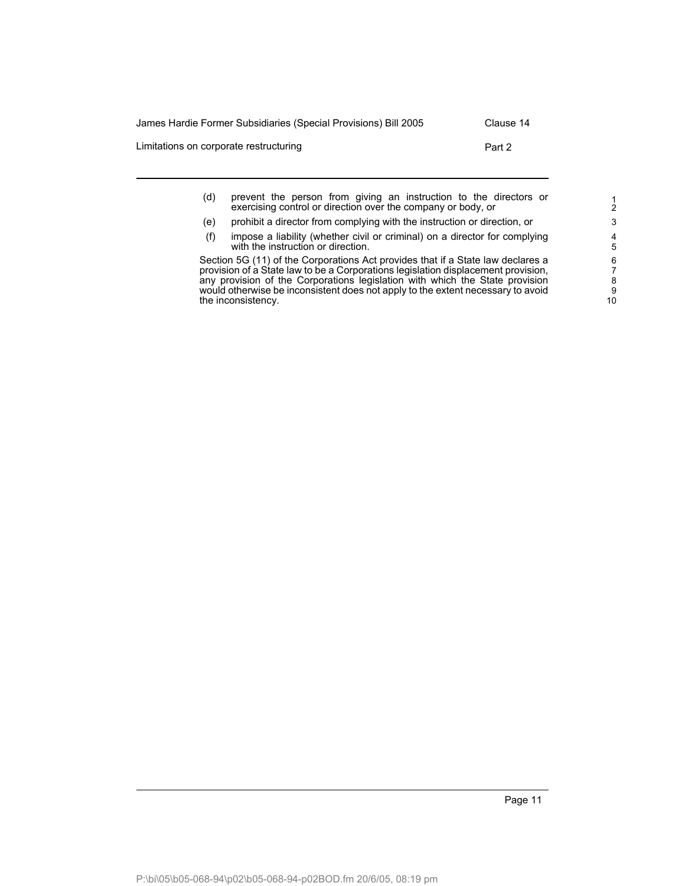| James Hardie Former Subsidiaries (Special Provisions) Bill 2005 | Clause 14 |
|-----------------------------------------------------------------|-----------|
| Limitations on corporate restructuring                          | Part 2    |
|                                                                 |           |

- (d) prevent the person from giving an instruction to the directors or exercising control or direction over the company or body, or
- (e) prohibit a director from complying with the instruction or direction, or
- (f) impose a liability (whether civil or criminal) on a director for complying with the instruction or direction.

Section 5G (11) of the Corporations Act provides that if a State law declares a provision of a State law to be a Corporations legislation displacement provision, any provision of the Corporations legislation with which the State provision would otherwise be inconsistent does not apply to the extent necessary to avoid the inconsistency.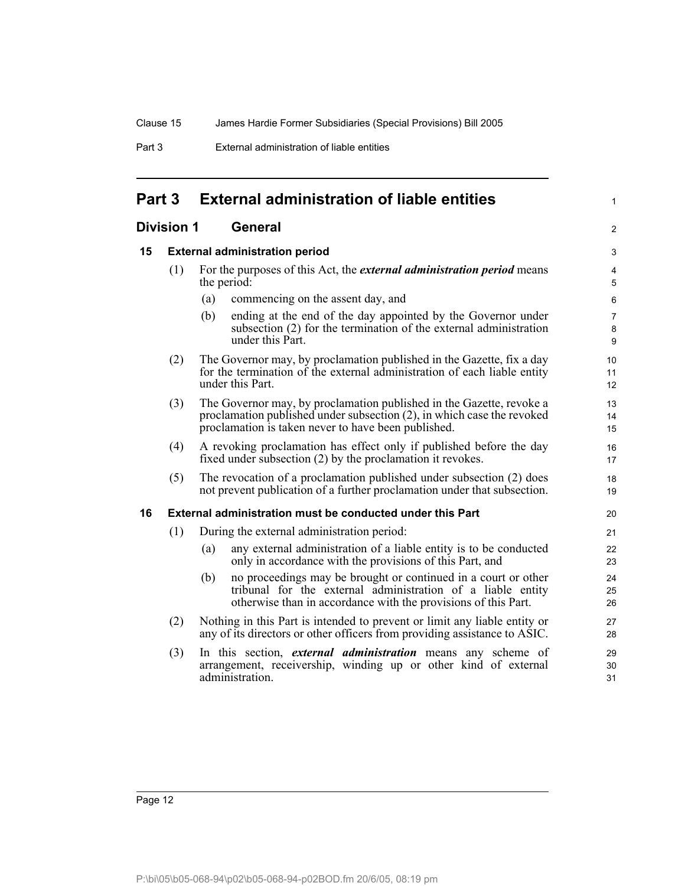Part 3 External administration of liable entities

# <span id="page-25-0"></span>**Part 3 External administration of liable entities**

### <span id="page-25-2"></span><span id="page-25-1"></span>**Division 1 General**

# **15 External administration period** (1) For the purposes of this Act, the *external administration period* means the period: (a) commencing on the assent day, and (b) ending at the end of the day appointed by the Governor under subsection (2) for the termination of the external administration under this Part. (2) The Governor may, by proclamation published in the Gazette, fix a day for the termination of the external administration of each liable entity under this Part. (3) The Governor may, by proclamation published in the Gazette, revoke a proclamation published under subsection (2), in which case the revoked proclamation is taken never to have been published. (4) A revoking proclamation has effect only if published before the day fixed under subsection (2) by the proclamation it revokes. (5) The revocation of a proclamation published under subsection (2) does not prevent publication of a further proclamation under that subsection. **16 External administration must be conducted under this Part** (1) During the external administration period: (a) any external administration of a liable entity is to be conducted only in accordance with the provisions of this Part, and (b) no proceedings may be brought or continued in a court or other tribunal for the external administration of a liable entity otherwise than in accordance with the provisions of this Part.

1

 $\mathfrak{D}$ 

- <span id="page-25-3"></span>(2) Nothing in this Part is intended to prevent or limit any liable entity or any of its directors or other officers from providing assistance to ASIC.
- (3) In this section, *external administration* means any scheme of arrangement, receivership, winding up or other kind of external administration.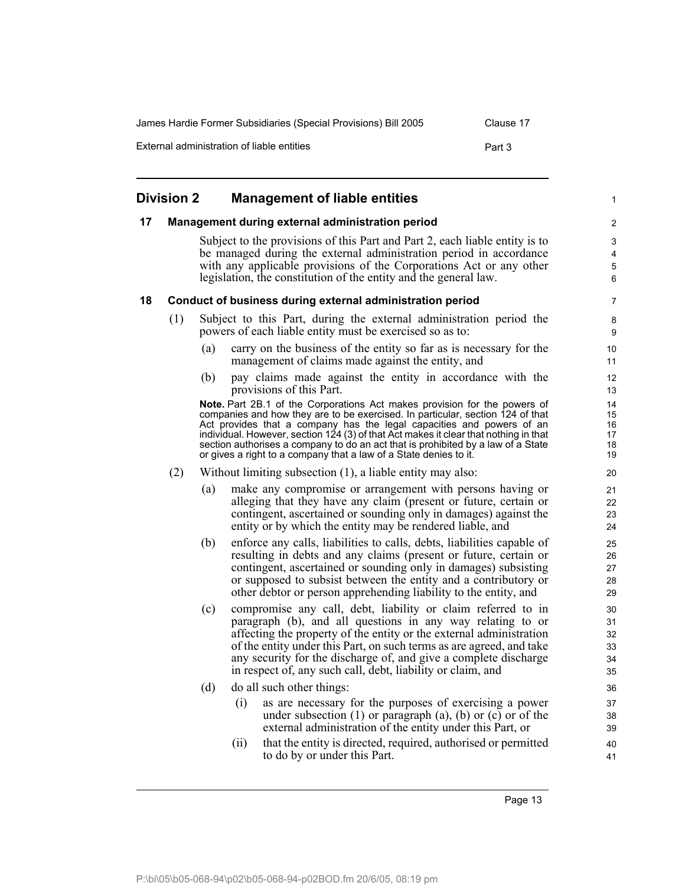| James Hardie Former Subsidiaries (Special Provisions) Bill 2005 | Clause 17 |
|-----------------------------------------------------------------|-----------|
| External administration of liable entities                      | Part 3    |

### <span id="page-26-0"></span>**Division 2 Management of liable entities**

#### <span id="page-26-1"></span>**17 Management during external administration period**

Subject to the provisions of this Part and Part 2, each liable entity is to be managed during the external administration period in accordance with any applicable provisions of the Corporations Act or any other legislation, the constitution of the entity and the general law.

#### <span id="page-26-2"></span>**18 Conduct of business during external administration period**

- (1) Subject to this Part, during the external administration period the powers of each liable entity must be exercised so as to:
	- (a) carry on the business of the entity so far as is necessary for the management of claims made against the entity, and
	- (b) pay claims made against the entity in accordance with the provisions of this Part.

**Note.** Part 2B.1 of the Corporations Act makes provision for the powers of companies and how they are to be exercised. In particular, section 124 of that Act provides that a company has the legal capacities and powers of an individual. However, section 124 (3) of that Act makes it clear that nothing in that section authorises a company to do an act that is prohibited by a law of a State or gives a right to a company that a law of a State denies to it.

- (2) Without limiting subsection (1), a liable entity may also:
	- (a) make any compromise or arrangement with persons having or alleging that they have any claim (present or future, certain or contingent, ascertained or sounding only in damages) against the entity or by which the entity may be rendered liable, and
	- (b) enforce any calls, liabilities to calls, debts, liabilities capable of resulting in debts and any claims (present or future, certain or contingent, ascertained or sounding only in damages) subsisting or supposed to subsist between the entity and a contributory or other debtor or person apprehending liability to the entity, and
	- (c) compromise any call, debt, liability or claim referred to in paragraph (b), and all questions in any way relating to or affecting the property of the entity or the external administration of the entity under this Part, on such terms as are agreed, and take any security for the discharge of, and give a complete discharge in respect of, any such call, debt, liability or claim, and
	- (d) do all such other things:
		- (i) as are necessary for the purposes of exercising a power under subsection  $(1)$  or paragraph  $(a)$ ,  $(b)$  or  $(c)$  or of the external administration of the entity under this Part, or
		- (ii) that the entity is directed, required, authorised or permitted to do by or under this Part.

Page 13

1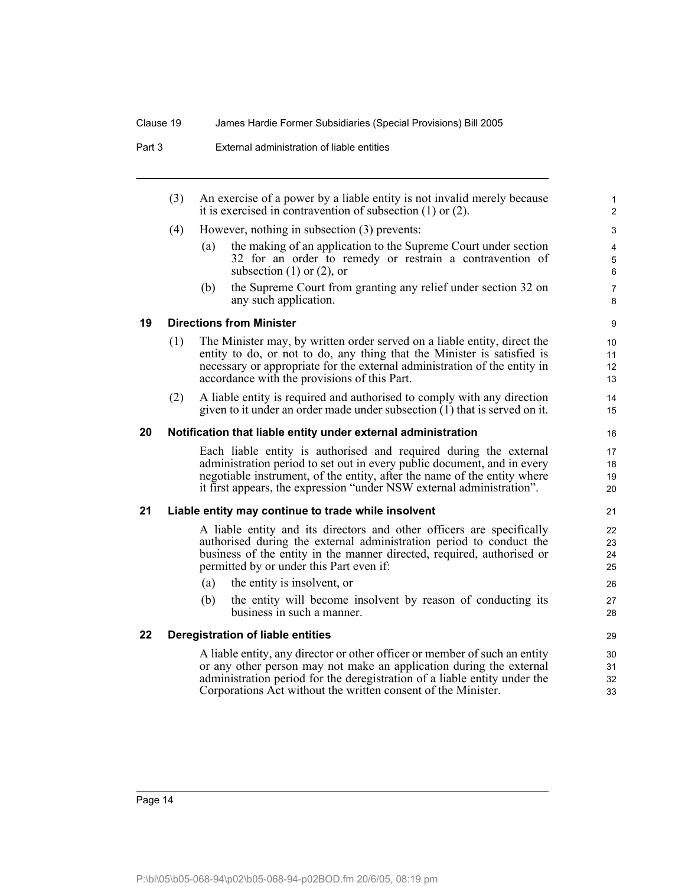| External administration of liable entities | Part 3 |  |  |  |  |
|--------------------------------------------|--------|--|--|--|--|
|--------------------------------------------|--------|--|--|--|--|

| (3) | An exercise of a power by a liable entity is not invalid merely because |
|-----|-------------------------------------------------------------------------|
|     | it is exercised in contravention of subsection $(1)$ or $(2)$ .         |

(4) However, nothing in subsection (3) prevents:

- (a) the making of an application to the Supreme Court under section 32 for an order to remedy or restrain a contravention of subsection  $(1)$  or  $(2)$ , or
- (b) the Supreme Court from granting any relief under section 32 on any such application.

#### <span id="page-27-0"></span>**19 Directions from Minister**

- (1) The Minister may, by written order served on a liable entity, direct the entity to do, or not to do, any thing that the Minister is satisfied is necessary or appropriate for the external administration of the entity in accordance with the provisions of this Part.
- (2) A liable entity is required and authorised to comply with any direction given to it under an order made under subsection (1) that is served on it.

#### <span id="page-27-1"></span>**20 Notification that liable entity under external administration**

Each liable entity is authorised and required during the external administration period to set out in every public document, and in every negotiable instrument, of the entity, after the name of the entity where it first appears, the expression "under NSW external administration".

#### <span id="page-27-2"></span>**21 Liable entity may continue to trade while insolvent**

A liable entity and its directors and other officers are specifically authorised during the external administration period to conduct the business of the entity in the manner directed, required, authorised or permitted by or under this Part even if:

(a) the entity is insolvent, or (b) the entity will become insolvent by reason of conducting its business in such a manner.

28

#### <span id="page-27-3"></span>**22 Deregistration of liable entities**

A liable entity, any director or other officer or member of such an entity or any other person may not make an application during the external administration period for the deregistration of a liable entity under the Corporations Act without the written consent of the Minister.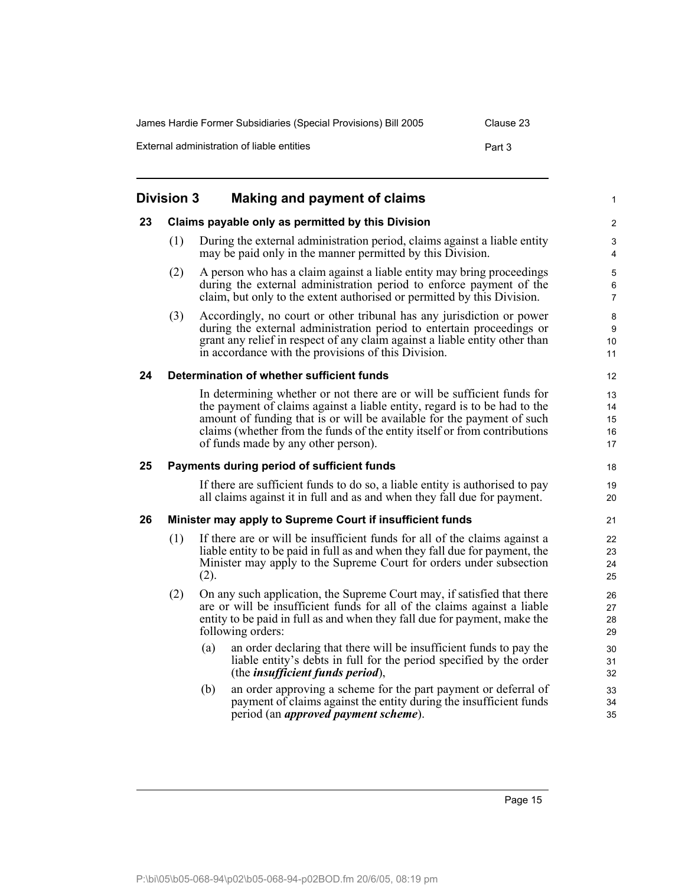| James Hardie Former Subsidiaries (Special Provisions) Bill 2005 | Clause 23 |
|-----------------------------------------------------------------|-----------|
| External administration of liable entities                      | Part 3    |

<span id="page-28-4"></span><span id="page-28-3"></span><span id="page-28-2"></span><span id="page-28-1"></span><span id="page-28-0"></span>

| <b>Division 3</b><br><b>Making and payment of claims</b> |     | $\mathbf{1}$                                                                                                                                                                                                                                                                                                                                       |                                    |
|----------------------------------------------------------|-----|----------------------------------------------------------------------------------------------------------------------------------------------------------------------------------------------------------------------------------------------------------------------------------------------------------------------------------------------------|------------------------------------|
| 23                                                       |     | Claims payable only as permitted by this Division                                                                                                                                                                                                                                                                                                  | $\overline{c}$                     |
|                                                          | (1) | During the external administration period, claims against a liable entity<br>may be paid only in the manner permitted by this Division.                                                                                                                                                                                                            | 3<br>$\overline{4}$                |
|                                                          | (2) | A person who has a claim against a liable entity may bring proceedings<br>during the external administration period to enforce payment of the<br>claim, but only to the extent authorised or permitted by this Division.                                                                                                                           | $\mathbf 5$<br>6<br>$\overline{7}$ |
|                                                          | (3) | Accordingly, no court or other tribunal has any jurisdiction or power<br>during the external administration period to entertain proceedings or<br>grant any relief in respect of any claim against a liable entity other than<br>in accordance with the provisions of this Division.                                                               | 8<br>9<br>10<br>11                 |
| 24                                                       |     | Determination of whether sufficient funds                                                                                                                                                                                                                                                                                                          | 12                                 |
|                                                          |     | In determining whether or not there are or will be sufficient funds for<br>the payment of claims against a liable entity, regard is to be had to the<br>amount of funding that is or will be available for the payment of such<br>claims (whether from the funds of the entity itself or from contributions<br>of funds made by any other person). | 13<br>14<br>15<br>16<br>17         |
| 25                                                       |     | Payments during period of sufficient funds                                                                                                                                                                                                                                                                                                         | 18                                 |
|                                                          |     | If there are sufficient funds to do so, a liable entity is authorised to pay<br>all claims against it in full and as and when they fall due for payment.                                                                                                                                                                                           | 19<br>20                           |
| 26                                                       |     | Minister may apply to Supreme Court if insufficient funds                                                                                                                                                                                                                                                                                          | 21                                 |
|                                                          | (1) | If there are or will be insufficient funds for all of the claims against a<br>liable entity to be paid in full as and when they fall due for payment, the<br>Minister may apply to the Supreme Court for orders under subsection<br>(2).                                                                                                           | 22<br>23<br>24<br>25               |
|                                                          | (2) | On any such application, the Supreme Court may, if satisfied that there<br>are or will be insufficient funds for all of the claims against a liable<br>entity to be paid in full as and when they fall due for payment, make the<br>following orders:                                                                                              | 26<br>27<br>28<br>29               |
|                                                          |     | an order declaring that there will be insufficient funds to pay the<br>(a)<br>liable entity's debts in full for the period specified by the order<br>(the <i>insufficient funds period</i> ),                                                                                                                                                      | 30<br>31<br>32                     |
|                                                          |     | an order approving a scheme for the part payment or deferral of<br>(b)<br>payment of claims against the entity during the insufficient funds<br>period (an <i>approved payment scheme</i> ).                                                                                                                                                       | 33<br>34<br>35                     |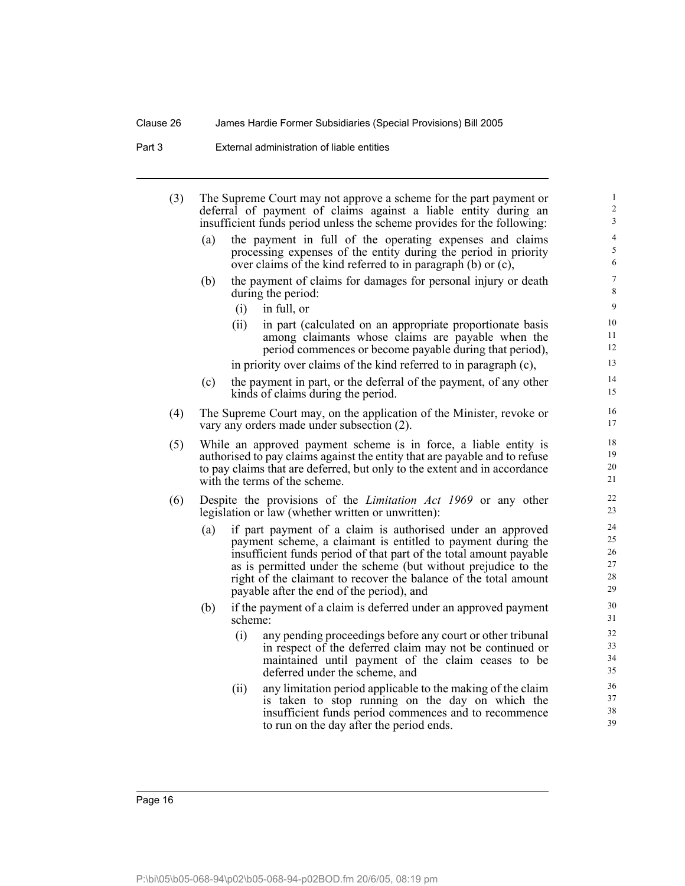Part 3 External administration of liable entities

| (3) |     |         | The Supreme Court may not approve a scheme for the part payment or<br>deferral of payment of claims against a liable entity during an<br>insufficient funds period unless the scheme provides for the following:                                                                                                                                                                    | $\mathbf{1}$<br>$\overline{\mathbf{c}}$<br>3 |
|-----|-----|---------|-------------------------------------------------------------------------------------------------------------------------------------------------------------------------------------------------------------------------------------------------------------------------------------------------------------------------------------------------------------------------------------|----------------------------------------------|
|     | (a) |         | the payment in full of the operating expenses and claims<br>processing expenses of the entity during the period in priority<br>over claims of the kind referred to in paragraph (b) or (c),                                                                                                                                                                                         | $\overline{\mathcal{A}}$<br>5<br>6           |
|     | (b) |         | the payment of claims for damages for personal injury or death<br>during the period:                                                                                                                                                                                                                                                                                                | $\overline{7}$<br>8                          |
|     |     | (i)     | in full, or                                                                                                                                                                                                                                                                                                                                                                         | 9                                            |
|     |     | (ii)    | in part (calculated on an appropriate proportionate basis<br>among claimants whose claims are payable when the<br>period commences or become payable during that period),                                                                                                                                                                                                           | 10<br>11<br>12                               |
|     |     |         | in priority over claims of the kind referred to in paragraph (c),                                                                                                                                                                                                                                                                                                                   | 13                                           |
|     | (c) |         | the payment in part, or the deferral of the payment, of any other<br>kinds of claims during the period.                                                                                                                                                                                                                                                                             | 14<br>15                                     |
| (4) |     |         | The Supreme Court may, on the application of the Minister, revoke or<br>vary any orders made under subsection (2).                                                                                                                                                                                                                                                                  | 16<br>17                                     |
| (5) |     |         | While an approved payment scheme is in force, a liable entity is<br>authorised to pay claims against the entity that are payable and to refuse<br>to pay claims that are deferred, but only to the extent and in accordance<br>with the terms of the scheme.                                                                                                                        | 18<br>19<br>20<br>21                         |
| (6) |     |         | Despite the provisions of the <i>Limitation Act 1969</i> or any other<br>legislation or law (whether written or unwritten):                                                                                                                                                                                                                                                         | 22<br>23                                     |
|     | (a) |         | if part payment of a claim is authorised under an approved<br>payment scheme, a claimant is entitled to payment during the<br>insufficient funds period of that part of the total amount payable<br>as is permitted under the scheme (but without prejudice to the<br>right of the claimant to recover the balance of the total amount<br>payable after the end of the period), and | 24<br>25<br>26<br>27<br>28<br>29             |
|     | (b) | scheme: | if the payment of a claim is deferred under an approved payment                                                                                                                                                                                                                                                                                                                     | 30<br>31                                     |
|     |     | (i)     | any pending proceedings before any court or other tribunal<br>in respect of the deferred claim may not be continued or<br>maintained until payment of the claim ceases to be<br>deferred under the scheme, and                                                                                                                                                                      | 32<br>33<br>34<br>35                         |
|     |     | (ii)    | any limitation period applicable to the making of the claim<br>is taken to stop running on the day on which the<br>insufficient funds period commences and to recommence<br>to run on the day after the period ends.                                                                                                                                                                | 36<br>37<br>38<br>39                         |
|     |     |         |                                                                                                                                                                                                                                                                                                                                                                                     |                                              |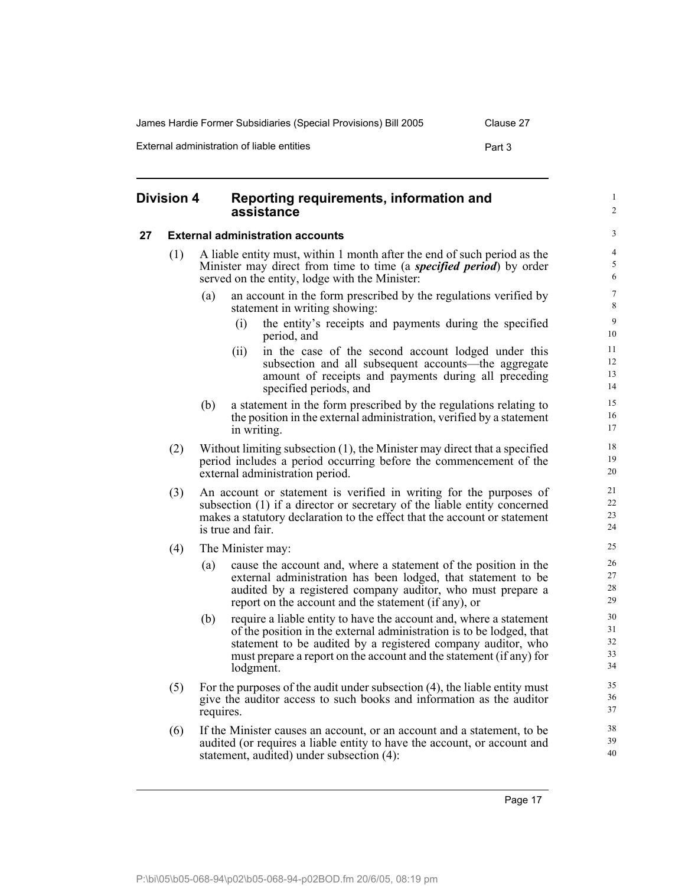<span id="page-30-1"></span><span id="page-30-0"></span>**Division 4 Reporting requirements, information and assistance 27 External administration accounts** (1) A liable entity must, within 1 month after the end of such period as the Minister may direct from time to time (a *specified period*) by order served on the entity, lodge with the Minister: (a) an account in the form prescribed by the regulations verified by statement in writing showing: (i) the entity's receipts and payments during the specified period, and (ii) in the case of the second account lodged under this subsection and all subsequent accounts—the aggregate amount of receipts and payments during all preceding specified periods, and (b) a statement in the form prescribed by the regulations relating to the position in the external administration, verified by a statement in writing. (2) Without limiting subsection (1), the Minister may direct that a specified period includes a period occurring before the commencement of the external administration period. (3) An account or statement is verified in writing for the purposes of subsection (1) if a director or secretary of the liable entity concerned makes a statutory declaration to the effect that the account or statement is true and fair. (4) The Minister may: (a) cause the account and, where a statement of the position in the external administration has been lodged, that statement to be audited by a registered company auditor, who must prepare a report on the account and the statement (if any), or (b) require a liable entity to have the account and, where a statement of the position in the external administration is to be lodged, that statement to be audited by a registered company auditor, who must prepare a report on the account and the statement (if any) for lodgment. (5) For the purposes of the audit under subsection (4), the liable entity must give the auditor access to such books and information as the auditor requires. (6) If the Minister causes an account, or an account and a statement, to be audited (or requires a liable entity to have the account, or account and statement, audited) under subsection (4):

1  $\mathfrak{Z}$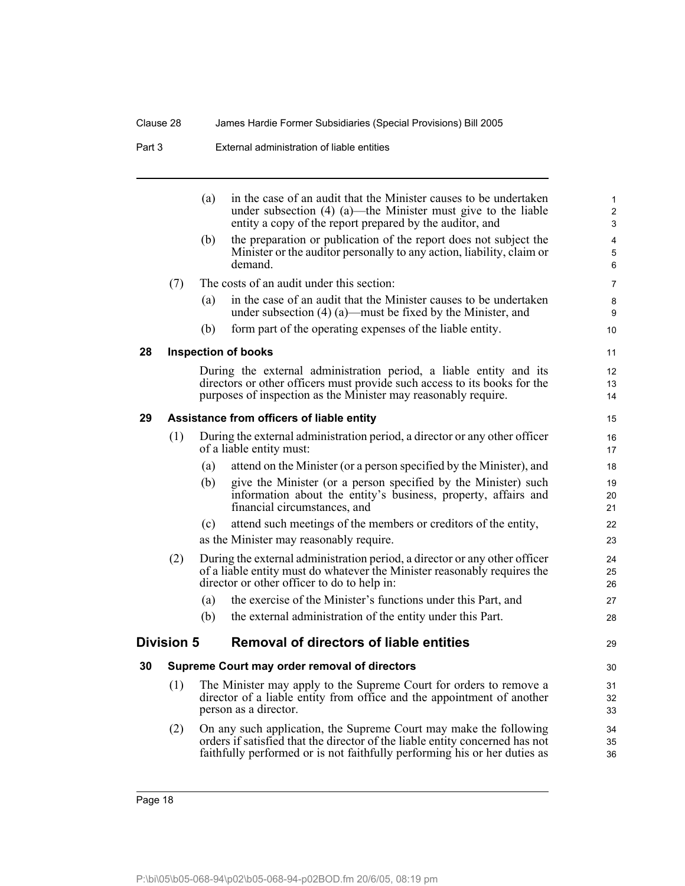### Part 3 External administration of liable entities

<span id="page-31-3"></span><span id="page-31-2"></span><span id="page-31-1"></span><span id="page-31-0"></span>

|    |                   | (a) | in the case of an audit that the Minister causes to be undertaken<br>under subsection $(4)$ (a)—the Minister must give to the liable<br>entity a copy of the report prepared by the auditor, and                               | 1<br>$\overline{c}$<br>3 |
|----|-------------------|-----|--------------------------------------------------------------------------------------------------------------------------------------------------------------------------------------------------------------------------------|--------------------------|
|    |                   | (b) | the preparation or publication of the report does not subject the<br>Minister or the auditor personally to any action, liability, claim or<br>demand.                                                                          | 4<br>5<br>6              |
|    | (7)               |     | The costs of an audit under this section:                                                                                                                                                                                      | 7                        |
|    |                   | (a) | in the case of an audit that the Minister causes to be undertaken<br>under subsection $(4)$ (a)—must be fixed by the Minister, and                                                                                             | 8<br>9                   |
|    |                   | (b) | form part of the operating expenses of the liable entity.                                                                                                                                                                      | 10                       |
| 28 |                   |     | <b>Inspection of books</b>                                                                                                                                                                                                     | 11                       |
|    |                   |     | During the external administration period, a liable entity and its<br>directors or other officers must provide such access to its books for the<br>purposes of inspection as the Minister may reasonably require.              | 12<br>13<br>14           |
| 29 |                   |     | Assistance from officers of liable entity                                                                                                                                                                                      | 15                       |
|    | (1)               |     | During the external administration period, a director or any other officer<br>of a liable entity must:                                                                                                                         | 16<br>17                 |
|    |                   | (a) | attend on the Minister (or a person specified by the Minister), and                                                                                                                                                            | 18                       |
|    |                   | (b) | give the Minister (or a person specified by the Minister) such<br>information about the entity's business, property, affairs and<br>financial circumstances, and                                                               | 19<br>20<br>21           |
|    |                   | (c) | attend such meetings of the members or creditors of the entity,                                                                                                                                                                | 22                       |
|    |                   |     | as the Minister may reasonably require.                                                                                                                                                                                        | 23                       |
|    | (2)               |     | During the external administration period, a director or any other officer<br>of a liable entity must do whatever the Minister reasonably requires the<br>director or other officer to do to help in:                          | 24<br>25<br>26           |
|    |                   | (a) | the exercise of the Minister's functions under this Part, and                                                                                                                                                                  | 27                       |
|    |                   | (b) | the external administration of the entity under this Part.                                                                                                                                                                     | 28                       |
|    | <b>Division 5</b> |     | <b>Removal of directors of liable entities</b>                                                                                                                                                                                 | 29                       |
| 30 |                   |     | Supreme Court may order removal of directors                                                                                                                                                                                   | 30                       |
|    |                   |     | (1) The Minister may apply to the Supreme Court for orders to remove a<br>director of a liable entity from office and the appointment of another<br>person as a director.                                                      | 31<br>32<br>33           |
|    | (2)               |     | On any such application, the Supreme Court may make the following<br>orders if satisfied that the director of the liable entity concerned has not<br>faithfully performed or is not faithfully performing his or her duties as | 34<br>35<br>36           |
|    |                   |     |                                                                                                                                                                                                                                |                          |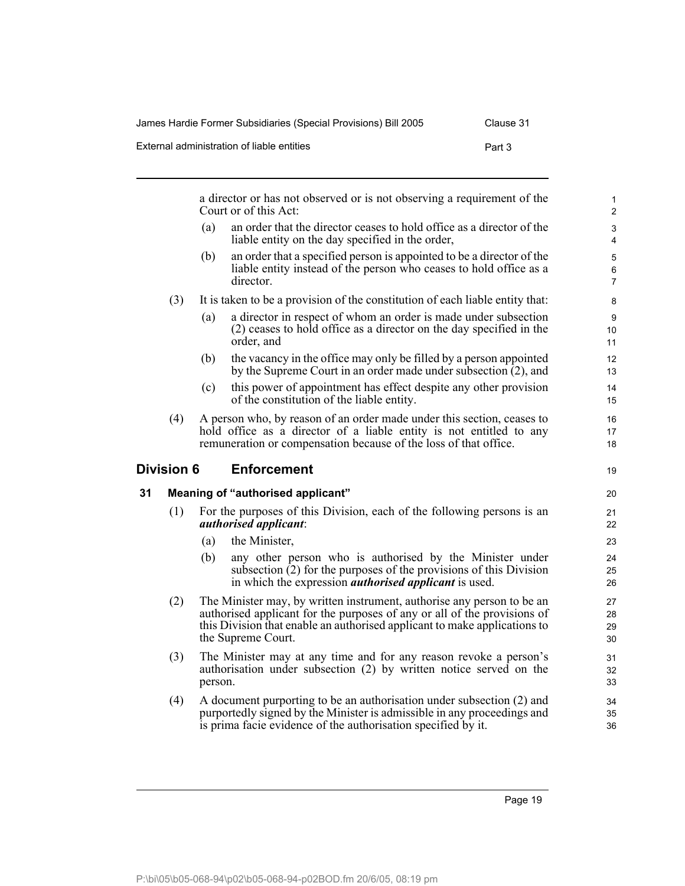| James Hardie Former Subsidiaries (Special Provisions) Bill 2005 |        |  |
|-----------------------------------------------------------------|--------|--|
| External administration of liable entities                      | Part 3 |  |

a director or has not observed or is not observing a requirement of the Court or of this Act:

- (a) an order that the director ceases to hold office as a director of the liable entity on the day specified in the order,
- (b) an order that a specified person is appointed to be a director of the liable entity instead of the person who ceases to hold office as a director.
- (3) It is taken to be a provision of the constitution of each liable entity that:
	- (a) a director in respect of whom an order is made under subsection (2) ceases to hold office as a director on the day specified in the order, and
	- (b) the vacancy in the office may only be filled by a person appointed by the Supreme Court in an order made under subsection (2), and
	- (c) this power of appointment has effect despite any other provision of the constitution of the liable entity.
- (4) A person who, by reason of an order made under this section, ceases to hold office as a director of a liable entity is not entitled to any remuneration or compensation because of the loss of that office.

### <span id="page-32-0"></span>**Division 6 Enforcement**

### <span id="page-32-1"></span>**31 Meaning of "authorised applicant"**

- (1) For the purposes of this Division, each of the following persons is an *authorised applicant*:
	- (a) the Minister,
	- (b) any other person who is authorised by the Minister under subsection (2) for the purposes of the provisions of this Division in which the expression *authorised applicant* is used.
- (2) The Minister may, by written instrument, authorise any person to be an authorised applicant for the purposes of any or all of the provisions of this Division that enable an authorised applicant to make applications to the Supreme Court.
- (3) The Minister may at any time and for any reason revoke a person's authorisation under subsection (2) by written notice served on the person.
- (4) A document purporting to be an authorisation under subsection (2) and purportedly signed by the Minister is admissible in any proceedings and is prima facie evidence of the authorisation specified by it.

19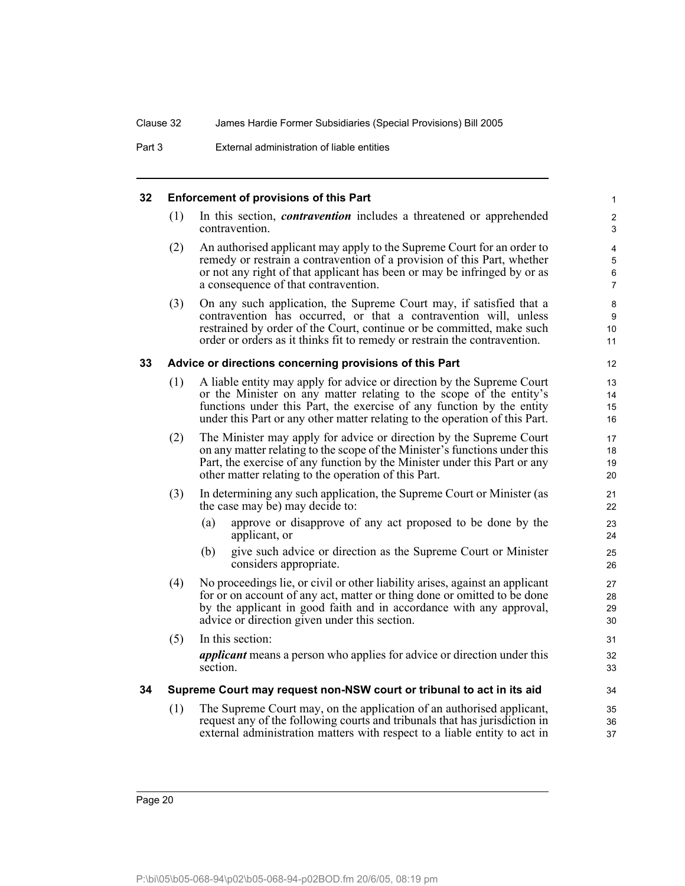Part 3 External administration of liable entities

#### <span id="page-33-0"></span>**32 Enforcement of provisions of this Part**

(1) In this section, *contravention* includes a threatened or apprehended contravention.

- (2) An authorised applicant may apply to the Supreme Court for an order to remedy or restrain a contravention of a provision of this Part, whether or not any right of that applicant has been or may be infringed by or as a consequence of that contravention.
- (3) On any such application, the Supreme Court may, if satisfied that a contravention has occurred, or that a contravention will, unless restrained by order of the Court, continue or be committed, make such order or orders as it thinks fit to remedy or restrain the contravention.

#### <span id="page-33-1"></span>**33 Advice or directions concerning provisions of this Part**

- (1) A liable entity may apply for advice or direction by the Supreme Court or the Minister on any matter relating to the scope of the entity's functions under this Part, the exercise of any function by the entity under this Part or any other matter relating to the operation of this Part.
- (2) The Minister may apply for advice or direction by the Supreme Court on any matter relating to the scope of the Minister's functions under this Part, the exercise of any function by the Minister under this Part or any other matter relating to the operation of this Part.
- (3) In determining any such application, the Supreme Court or Minister (as the case may be) may decide to:
	- (a) approve or disapprove of any act proposed to be done by the applicant, or
	- (b) give such advice or direction as the Supreme Court or Minister considers appropriate.
- (4) No proceedings lie, or civil or other liability arises, against an applicant for or on account of any act, matter or thing done or omitted to be done by the applicant in good faith and in accordance with any approval, advice or direction given under this section.
- (5) In this section: *applicant* means a person who applies for advice or direction under this section.

#### <span id="page-33-2"></span>**34 Supreme Court may request non-NSW court or tribunal to act in its aid**

(1) The Supreme Court may, on the application of an authorised applicant, request any of the following courts and tribunals that has jurisdiction in external administration matters with respect to a liable entity to act in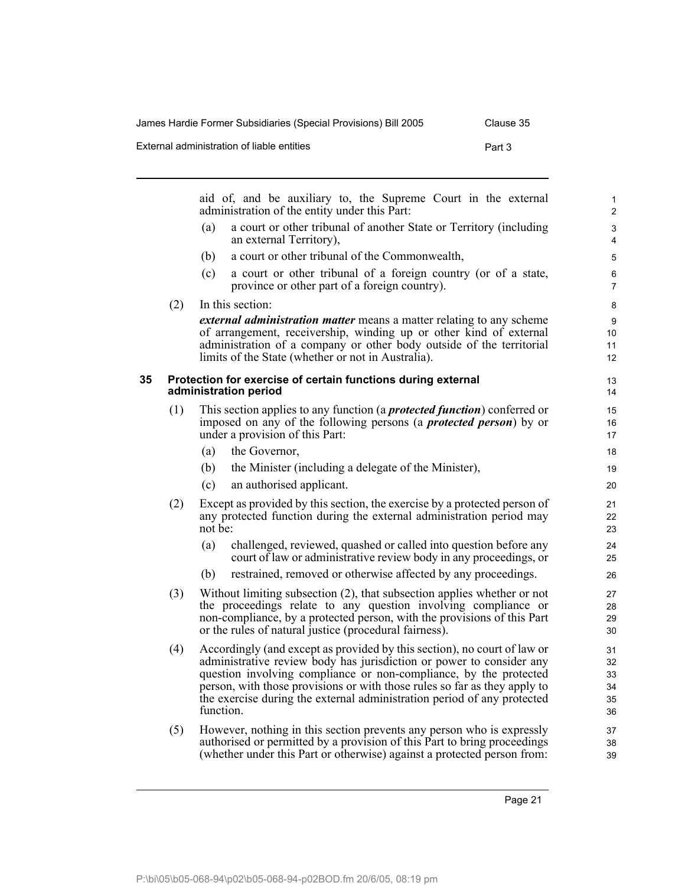| James Hardie Former Subsidiaries (Special Provisions) Bill 2005 | Clause 35 |
|-----------------------------------------------------------------|-----------|
| External administration of liable entities                      | Part 3    |

<span id="page-34-0"></span>

|    |     |           | aid of, and be auxiliary to, the Supreme Court in the external<br>administration of the entity under this Part:                                                                                                                                                                                                                                                               | 1<br>2                           |
|----|-----|-----------|-------------------------------------------------------------------------------------------------------------------------------------------------------------------------------------------------------------------------------------------------------------------------------------------------------------------------------------------------------------------------------|----------------------------------|
|    |     | (a)       | a court or other tribunal of another State or Territory (including<br>an external Territory),                                                                                                                                                                                                                                                                                 | 3<br>$\overline{4}$              |
|    |     | (b)       | a court or other tribunal of the Commonwealth,                                                                                                                                                                                                                                                                                                                                | 5                                |
|    |     | (c)       | a court or other tribunal of a foreign country (or of a state,<br>province or other part of a foreign country).                                                                                                                                                                                                                                                               | 6<br>$\overline{7}$              |
|    | (2) |           | In this section:                                                                                                                                                                                                                                                                                                                                                              | 8                                |
|    |     |           | external administration matter means a matter relating to any scheme<br>of arrangement, receivership, winding up or other kind of external<br>administration of a company or other body outside of the territorial<br>limits of the State (whether or not in Australia).                                                                                                      | 9<br>10<br>11<br>12              |
| 35 |     |           | Protection for exercise of certain functions during external<br>administration period                                                                                                                                                                                                                                                                                         | 13<br>14                         |
|    | (1) |           | This section applies to any function (a <i>protected function</i> ) conferred or<br>imposed on any of the following persons (a <i>protected person</i> ) by or<br>under a provision of this Part:                                                                                                                                                                             | 15<br>16<br>17                   |
|    |     | (a)       | the Governor,                                                                                                                                                                                                                                                                                                                                                                 | 18                               |
|    |     | (b)       | the Minister (including a delegate of the Minister),                                                                                                                                                                                                                                                                                                                          | 19                               |
|    |     | (c)       | an authorised applicant.                                                                                                                                                                                                                                                                                                                                                      | 20                               |
|    | (2) | not be:   | Except as provided by this section, the exercise by a protected person of<br>any protected function during the external administration period may                                                                                                                                                                                                                             | 21<br>22<br>23                   |
|    |     | (a)       | challenged, reviewed, quashed or called into question before any<br>court of law or administrative review body in any proceedings, or                                                                                                                                                                                                                                         | 24<br>25                         |
|    |     | (b)       | restrained, removed or otherwise affected by any proceedings.                                                                                                                                                                                                                                                                                                                 | 26                               |
|    | (3) |           | Without limiting subsection (2), that subsection applies whether or not<br>the proceedings relate to any question involving compliance or<br>non-compliance, by a protected person, with the provisions of this Part<br>or the rules of natural justice (procedural fairness).                                                                                                | 27<br>28<br>29<br>30             |
|    | (4) | function. | Accordingly (and except as provided by this section), no court of law or<br>administrative review body has jurisdiction or power to consider any<br>question involving compliance or non-compliance, by the protected<br>person, with those provisions or with those rules so far as they apply to<br>the exercise during the external administration period of any protected | 31<br>32<br>33<br>34<br>35<br>36 |
|    | (5) |           | However, nothing in this section prevents any person who is expressly<br>authorised or permitted by a provision of this Part to bring proceedings<br>(whether under this Part or otherwise) against a protected person from:                                                                                                                                                  | 37<br>38<br>39                   |

Page 21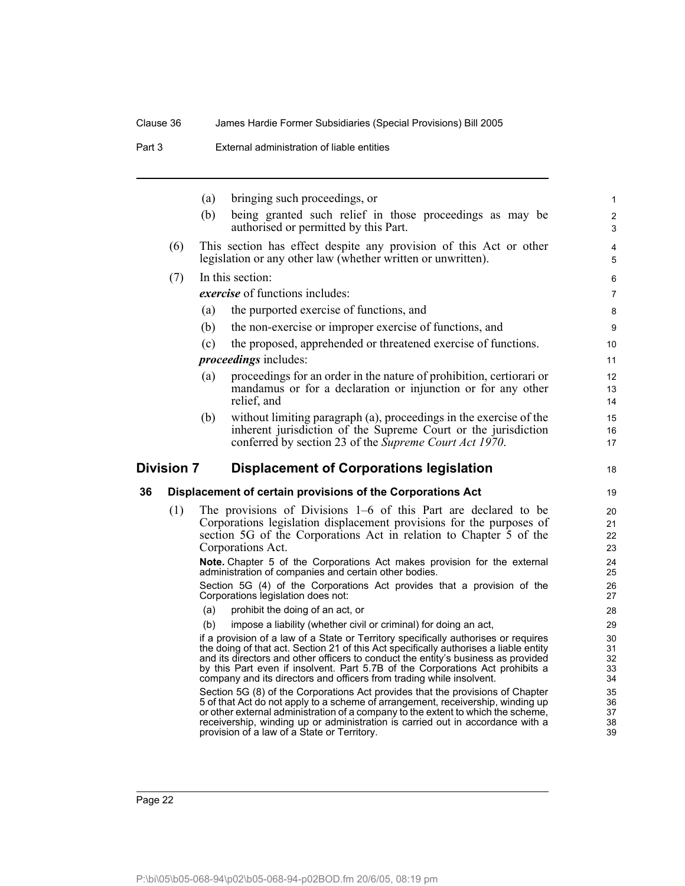| Part 3 | External administration of liable entities |
|--------|--------------------------------------------|
|        |                                            |

<span id="page-35-1"></span><span id="page-35-0"></span>

|    |                   | (a) | bringing such proceedings, or                                                                                                                                                                                                                                                                                                                                                                                              | 1                            |
|----|-------------------|-----|----------------------------------------------------------------------------------------------------------------------------------------------------------------------------------------------------------------------------------------------------------------------------------------------------------------------------------------------------------------------------------------------------------------------------|------------------------------|
|    |                   | (b) | being granted such relief in those proceedings as may be<br>authorised or permitted by this Part.                                                                                                                                                                                                                                                                                                                          | $\overline{\mathbf{c}}$<br>3 |
|    | (6)               |     | This section has effect despite any provision of this Act or other<br>legislation or any other law (whether written or unwritten).                                                                                                                                                                                                                                                                                         | 4<br>5                       |
|    | (7)               |     | In this section:                                                                                                                                                                                                                                                                                                                                                                                                           | 6                            |
|    |                   |     | exercise of functions includes:                                                                                                                                                                                                                                                                                                                                                                                            | $\overline{7}$               |
|    |                   | (a) | the purported exercise of functions, and                                                                                                                                                                                                                                                                                                                                                                                   | 8                            |
|    |                   | (b) | the non-exercise or improper exercise of functions, and                                                                                                                                                                                                                                                                                                                                                                    | 9                            |
|    |                   | (c) | the proposed, apprehended or threatened exercise of functions.                                                                                                                                                                                                                                                                                                                                                             | 10                           |
|    |                   |     | proceedings includes:                                                                                                                                                                                                                                                                                                                                                                                                      | 11                           |
|    |                   | (a) | proceedings for an order in the nature of prohibition, certiorari or<br>mandamus or for a declaration or injunction or for any other<br>relief, and                                                                                                                                                                                                                                                                        | 12<br>13<br>14               |
|    |                   | (b) | without limiting paragraph (a), proceedings in the exercise of the                                                                                                                                                                                                                                                                                                                                                         | 15                           |
|    |                   |     | inherent jurisdiction of the Supreme Court or the jurisdiction<br>conferred by section 23 of the Supreme Court Act 1970.                                                                                                                                                                                                                                                                                                   | 16<br>17                     |
|    |                   |     |                                                                                                                                                                                                                                                                                                                                                                                                                            |                              |
|    | <b>Division 7</b> |     | <b>Displacement of Corporations legislation</b>                                                                                                                                                                                                                                                                                                                                                                            | 18                           |
| 36 |                   |     | Displacement of certain provisions of the Corporations Act                                                                                                                                                                                                                                                                                                                                                                 | 19                           |
|    | (1)               |     | The provisions of Divisions 1–6 of this Part are declared to be<br>Corporations legislation displacement provisions for the purposes of<br>section 5G of the Corporations Act in relation to Chapter 5 of the<br>Corporations Act.                                                                                                                                                                                         | 20<br>21<br>22<br>23         |
|    |                   |     | Note. Chapter 5 of the Corporations Act makes provision for the external<br>administration of companies and certain other bodies.                                                                                                                                                                                                                                                                                          | 24<br>25                     |
|    |                   |     | Section 5G (4) of the Corporations Act provides that a provision of the<br>Corporations legislation does not:                                                                                                                                                                                                                                                                                                              | 26<br>27                     |
|    |                   | (a) | prohibit the doing of an act, or                                                                                                                                                                                                                                                                                                                                                                                           | 28                           |
|    |                   | (b) | impose a liability (whether civil or criminal) for doing an act,                                                                                                                                                                                                                                                                                                                                                           | 29                           |
|    |                   |     | if a provision of a law of a State or Territory specifically authorises or requires<br>the doing of that act. Section 21 of this Act specifically authorises a liable entity<br>and its directors and other officers to conduct the entity's business as provided<br>by this Part even if insolvent. Part 5.7B of the Corporations Act prohibits a<br>company and its directors and officers from trading while insolvent. | 30<br>31<br>32<br>33<br>34   |
|    |                   |     | Section 5G (8) of the Corporations Act provides that the provisions of Chapter<br>5 of that Act do not apply to a scheme of arrangement, receivership, winding up<br>or other external administration of a company to the extent to which the scheme,<br>receivership, winding up or administration is carried out in accordance with a<br>provision of a law of a State or Territory.                                     | 35<br>36<br>37<br>38<br>39   |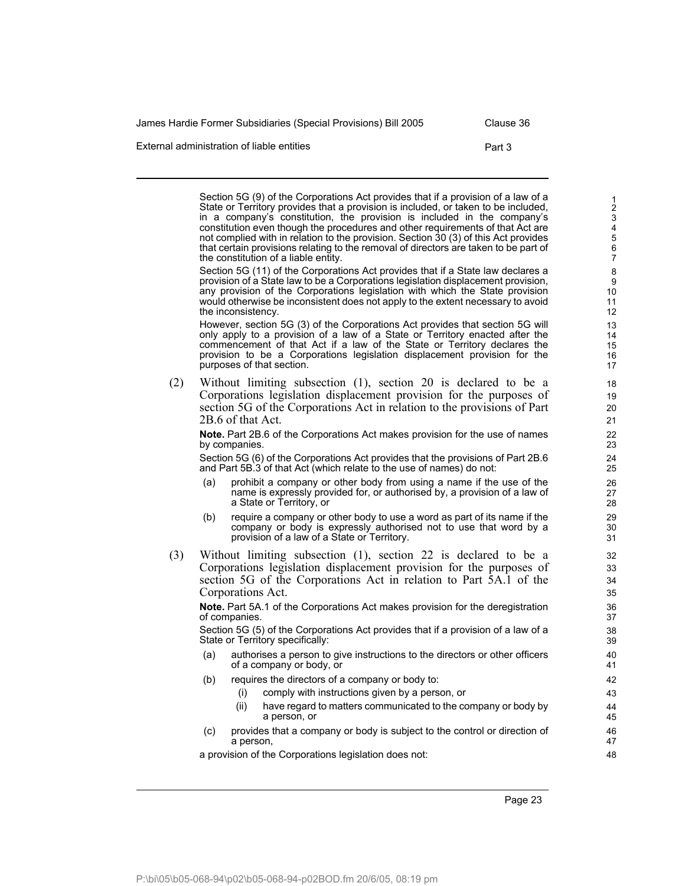External administration of liable entities external administration of liable entities

Section 5G (9) of the Corporations Act provides that if a provision of a law of a State or Territory provides that a provision is included, or taken to be included, in a company's constitution, the provision is included in the company's constitution even though the procedures and other requirements of that Act are not complied with in relation to the provision. Section 30 (3) of this Act provides that certain provisions relating to the removal of directors are taken to be part of the constitution of a liable entity.

Section 5G (11) of the Corporations Act provides that if a State law declares a provision of a State law to be a Corporations legislation displacement provision, any provision of the Corporations legislation with which the State provision would otherwise be inconsistent does not apply to the extent necessary to avoid the inconsistency.

However, section 5G (3) of the Corporations Act provides that section 5G will only apply to a provision of a law of a State or Territory enacted after the commencement of that Act if a law of the State or Territory declares the provision to be a Corporations legislation displacement provision for the purposes of that section.

(2) Without limiting subsection (1), section 20 is declared to be a Corporations legislation displacement provision for the purposes of section 5G of the Corporations Act in relation to the provisions of Part 2B.6 of that Act.

**Note.** Part 2B.6 of the Corporations Act makes provision for the use of names by companies.

Section 5G (6) of the Corporations Act provides that the provisions of Part 2B.6 and Part 5B.3 of that Act (which relate to the use of names) do not:

- prohibit a company or other body from using a name if the use of the name is expressly provided for, or authorised by, a provision of a law of a State or Territory, or
- (b) require a company or other body to use a word as part of its name if the company or body is expressly authorised not to use that word by a provision of a law of a State or Territory.
- (3) Without limiting subsection (1), section 22 is declared to be a Corporations legislation displacement provision for the purposes of section 5G of the Corporations Act in relation to Part 5A.1 of the Corporations Act.

**Note.** Part 5A.1 of the Corporations Act makes provision for the deregistration of companies.

Section 5G (5) of the Corporations Act provides that if a provision of a law of a State or Territory specifically:

- authorises a person to give instructions to the directors or other officers of a company or body, or
- (b) requires the directors of a company or body to:
	- (i) comply with instructions given by a person, or
	- (ii) have regard to matters communicated to the company or body by a person, or
- (c) provides that a company or body is subject to the control or direction of a person,

a provision of the Corporations legislation does not: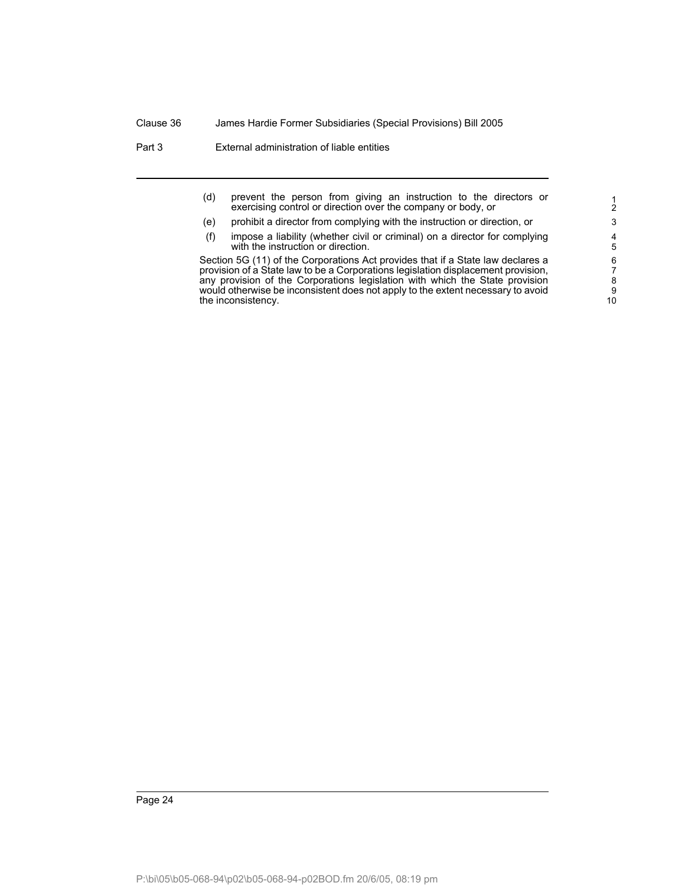Part 3 External administration of liable entities

- (d) prevent the person from giving an instruction to the directors or exercising control or direction over the company or body, or
- (e) prohibit a director from complying with the instruction or direction, or
- (f) impose a liability (whether civil or criminal) on a director for complying with the instruction or direction.

Section 5G (11) of the Corporations Act provides that if a State law declares a provision of a State law to be a Corporations legislation displacement provision, any provision of the Corporations legislation with which the State provision would otherwise be inconsistent does not apply to the extent necessary to avoid the inconsistency.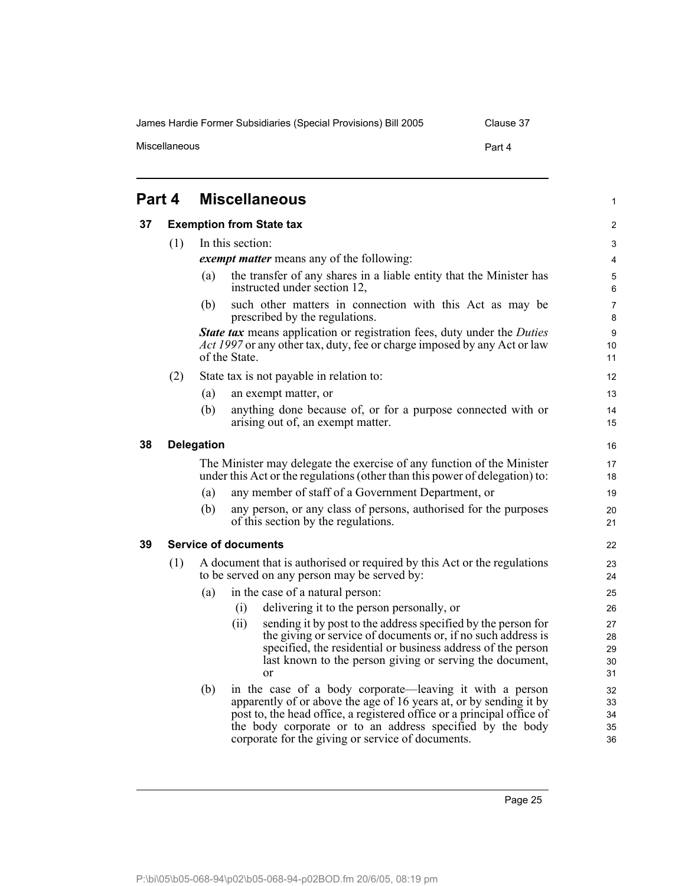#### <span id="page-38-3"></span><span id="page-38-2"></span><span id="page-38-1"></span><span id="page-38-0"></span>**Part 4 Miscellaneous 37 Exemption from State tax** (1) In this section: *exempt matter* means any of the following: (a) the transfer of any shares in a liable entity that the Minister has instructed under section 12, (b) such other matters in connection with this Act as may be prescribed by the regulations. *State tax* means application or registration fees, duty under the *Duties Act 1997* or any other tax, duty, fee or charge imposed by any Act or law of the State. (2) State tax is not payable in relation to: (a) an exempt matter, or (b) anything done because of, or for a purpose connected with or arising out of, an exempt matter. **38 Delegation** The Minister may delegate the exercise of any function of the Minister under this Act or the regulations (other than this power of delegation) to: (a) any member of staff of a Government Department, or (b) any person, or any class of persons, authorised for the purposes of this section by the regulations. **39 Service of documents** (1) A document that is authorised or required by this Act or the regulations to be served on any person may be served by: (a) in the case of a natural person: (i) delivering it to the person personally, or (ii) sending it by post to the address specified by the person for the giving or service of documents or, if no such address is specified, the residential or business address of the person last known to the person giving or serving the document, or (b) in the case of a body corporate—leaving it with a person apparently of or above the age of 16 years at, or by sending it by post to, the head office, a registered office or a principal office of the body corporate or to an address specified by the body corporate for the giving or service of documents. 1 2 3 4 5 6 7 8 9 10 11 12 13 14 15 16 17 18 19 20 21 22 23 24 25 26 27 28 29 30 31 32 33 34 35 36

Page 25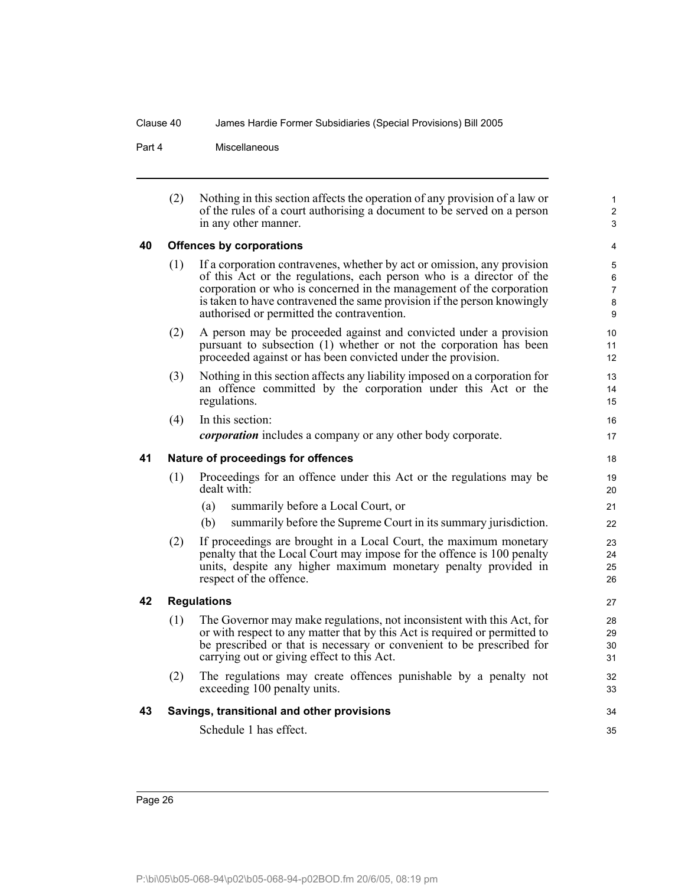### Part 4 Miscellaneous

<span id="page-39-3"></span><span id="page-39-2"></span><span id="page-39-1"></span><span id="page-39-0"></span>

|    | (2) | Nothing in this section affects the operation of any provision of a law or<br>of the rules of a court authorising a document to be served on a person<br>in any other manner.                                                                                                                                                                    | 1<br>$\overline{2}$<br>3 |
|----|-----|--------------------------------------------------------------------------------------------------------------------------------------------------------------------------------------------------------------------------------------------------------------------------------------------------------------------------------------------------|--------------------------|
| 40 |     | <b>Offences by corporations</b>                                                                                                                                                                                                                                                                                                                  | 4                        |
|    | (1) | If a corporation contravenes, whether by act or omission, any provision<br>of this Act or the regulations, each person who is a director of the<br>corporation or who is concerned in the management of the corporation<br>is taken to have contravened the same provision if the person knowingly<br>authorised or permitted the contravention. | 5<br>6<br>7<br>8<br>9    |
|    | (2) | A person may be proceeded against and convicted under a provision<br>pursuant to subsection (1) whether or not the corporation has been<br>proceeded against or has been convicted under the provision.                                                                                                                                          | 10<br>11<br>12           |
|    | (3) | Nothing in this section affects any liability imposed on a corporation for<br>an offence committed by the corporation under this Act or the<br>regulations.                                                                                                                                                                                      | 13<br>14<br>15           |
|    | (4) | In this section:                                                                                                                                                                                                                                                                                                                                 | 16                       |
|    |     | <i>corporation</i> includes a company or any other body corporate.                                                                                                                                                                                                                                                                               | 17                       |
| 41 |     | Nature of proceedings for offences                                                                                                                                                                                                                                                                                                               | 18                       |
|    | (1) | Proceedings for an offence under this Act or the regulations may be<br>dealt with:                                                                                                                                                                                                                                                               | 19<br>20                 |
|    |     | (a)<br>summarily before a Local Court, or                                                                                                                                                                                                                                                                                                        | 21                       |
|    |     | summarily before the Supreme Court in its summary jurisdiction.<br>(b)                                                                                                                                                                                                                                                                           | 22                       |
|    | (2) | If proceedings are brought in a Local Court, the maximum monetary<br>penalty that the Local Court may impose for the offence is 100 penalty<br>units, despite any higher maximum monetary penalty provided in<br>respect of the offence.                                                                                                         | 23<br>24<br>25<br>26     |
| 42 |     | <b>Regulations</b>                                                                                                                                                                                                                                                                                                                               | 27                       |
|    | (1) | The Governor may make regulations, not inconsistent with this Act, for<br>or with respect to any matter that by this Act is required or permitted to<br>be prescribed or that is necessary or convenient to be prescribed for<br>carrying out or giving effect to this Act.                                                                      | 28<br>29<br>30<br>31     |
|    | (2) | The regulations may create offences punishable by a penalty not<br>exceeding 100 penalty units.                                                                                                                                                                                                                                                  | 32<br>33                 |
| 43 |     | Savings, transitional and other provisions                                                                                                                                                                                                                                                                                                       | 34                       |
|    |     | Schedule 1 has effect.                                                                                                                                                                                                                                                                                                                           | 35                       |
|    |     |                                                                                                                                                                                                                                                                                                                                                  |                          |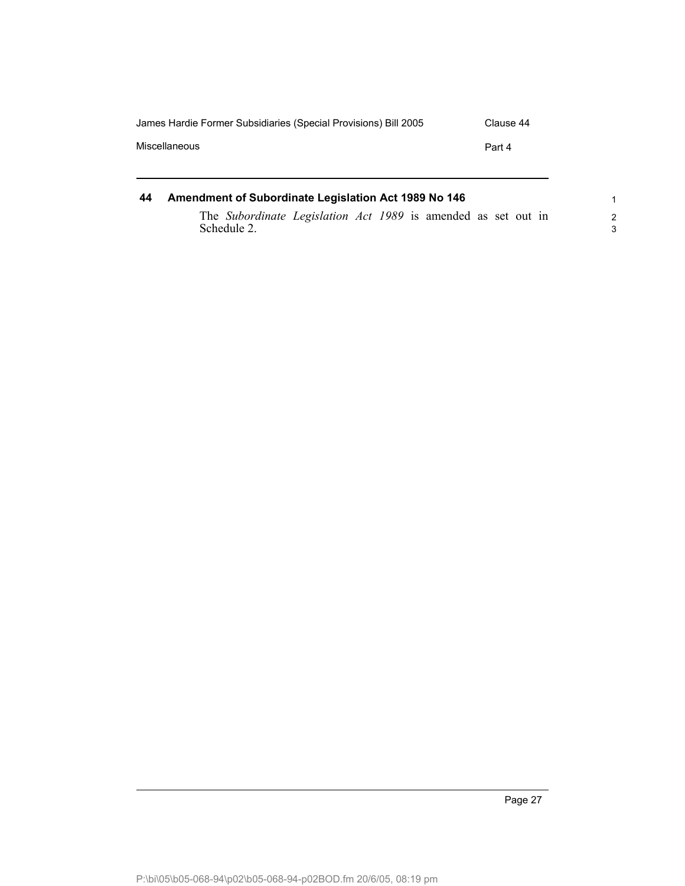<span id="page-40-0"></span>

| Amendment of Subordinate Legislation Act 1989 No 146<br>44      |           |
|-----------------------------------------------------------------|-----------|
| Miscellaneous                                                   | Part 4    |
| James Hardie Former Subsidiaries (Special Provisions) Bill 2005 | Clause 44 |

The *Subordinate Legislation Act 1989* is amended as set out in Schedule 2.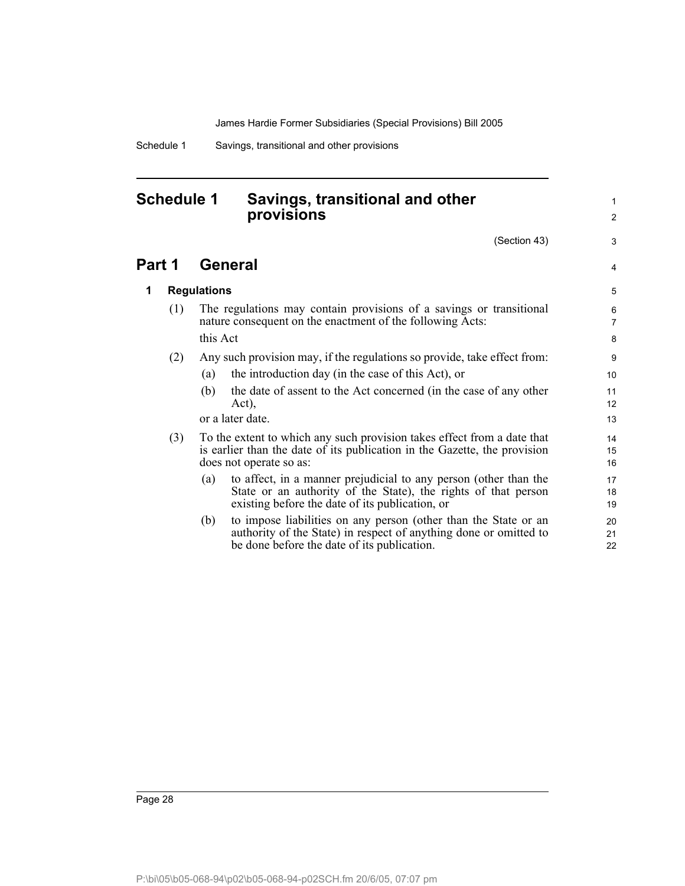Schedule 1 Savings, transitional and other provisions

## <span id="page-41-0"></span>**Schedule 1 Savings, transitional and other provisions**

(Section 43)

1 2

3

4

#### **1 Regulations**

- (1) The regulations may contain provisions of a savings or transitional nature consequent on the enactment of the following Acts: this Act
- (2) Any such provision may, if the regulations so provide, take effect from:
	- (a) the introduction day (in the case of this Act), or
	- (b) the date of assent to the Act concerned (in the case of any other Act),

or a later date.

- (3) To the extent to which any such provision takes effect from a date that is earlier than the date of its publication in the Gazette, the provision does not operate so as:
	- (a) to affect, in a manner prejudicial to any person (other than the State or an authority of the State), the rights of that person existing before the date of its publication, or
	- (b) to impose liabilities on any person (other than the State or an authority of the State) in respect of anything done or omitted to be done before the date of its publication.

P:\bi\05\b05-068-94\p02\b05-068-94-p02SCH.fm 20/6/05, 07:07 pm